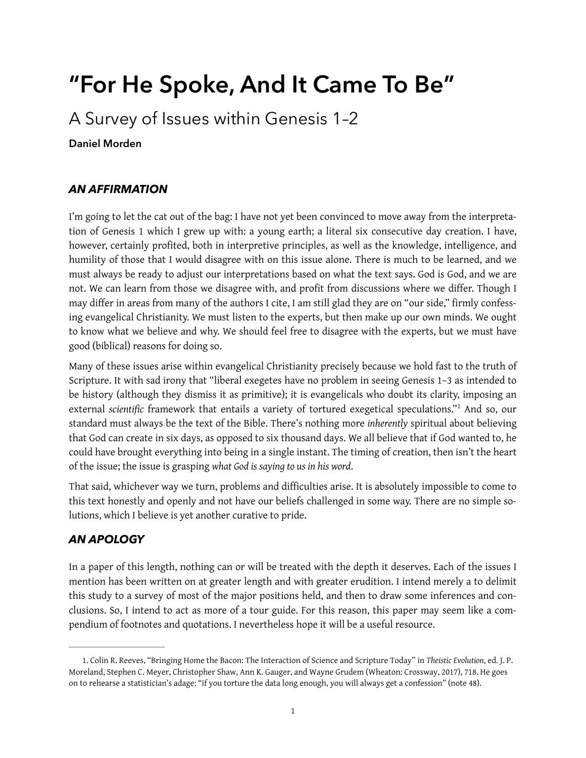# **"For He Spoke, And It Came To Be"**

A Survey of Issues within Genesis 1–2

**Daniel Morden** 

# *AN AFFIRMATION*

I'm going to let the cat out of the bag: I have not yet been convinced to move away from the interpretation of Genesis 1 which I grew up with: a young earth; a literal six consecutive day creation. I have, however, certainly profited, both in interpretive principles, as well as the knowledge, intelligence, and humility of those that I would disagree with on this issue alone. There is much to be learned, and we must always be ready to adjust our interpretations based on what the text says. God is God, and we are not. We can learn from those we disagree with, and profit from discussions where we differ. Though I may difer in areas from many of the authors I cite, I am still glad they are on "our side," frmly confessing evangelical Christianity. We must listen to the experts, but then make up our own minds. We ought to know what we believe and why. We should feel free to disagree with the experts, but we must have good (biblical) reasons for doing so.

<span id="page-0-1"></span>Many of these issues arise within evangelical Christianity precisely because we hold fast to the truth of Scripture. It with sad irony that "liberal exegetes have no problem in seeing Genesis 1–3 as intended to be history (although they dismiss it as primitive); it is evangelicals who doubt its clarity, imposing an external *scientific* framework that entails a variety of tortured exegetical speculations."<sup>[1](#page-0-0)</sup> And so, our standard must always be the text of the Bible. There's nothing more *inherently* spiritual about believing that God can create in six days, as opposed to six thousand days. We all believe that if God wanted to, he could have brought everything into being in a single instant. The timing of creation, then isn't the heart of the issue; the issue is grasping *what God is saying to us in his word*.

That said, whichever way we turn, problems and difficulties arise. It is absolutely impossible to come to this text honestly and openly and not have our beliefs challenged in some way. There are no simple solutions, which I believe is yet another curative to pride.

# *AN APOLOGY*

In a paper of this length, nothing can or will be treated with the depth it deserves. Each of the issues I mention has been written on at greater length and with greater erudition. I intend merely a to delimit this study to a survey of most of the major positions held, and then to draw some inferences and conclusions. So, I intend to act as more of a tour guide. For this reason, this paper may seem like a compendium of footnotes and quotations. I nevertheless hope it will be a useful resource.

<span id="page-0-0"></span>[<sup>1</sup>](#page-0-1). Colin R. Reeves, "Bringing Home the Bacon: The Interaction of Science and Scripture Today" in *Theistic Evolution*, ed. J. P. Moreland, Stephen C. Meyer, Christopher Shaw, Ann K. Gauger, and Wayne Grudem (Wheaton: Crossway, 2017), 718. He goes on to rehearse a statistician's adage: "if you torture the data long enough, you will always get a confession" (note 48).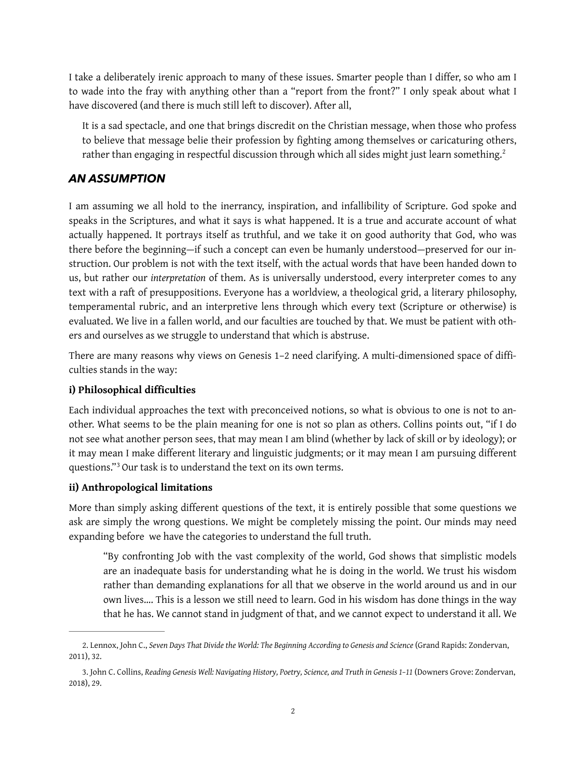I take a deliberately irenic approach to many of these issues. Smarter people than I differ, so who am I to wade into the fray with anything other than a "report from the front?" I only speak about what I have discovered (and there is much still left to discover). After all,

<span id="page-1-2"></span>It is a sad spectacle, and one that brings discredit on the Christian message, when those who profess to believe that message belie their profession by fghting among themselves or caricaturing others, rather than engaging in respectful discussion through which all sides might just learn something.<sup>[2](#page-1-0)</sup>

### *AN ASSUMPTION*

I am assuming we all hold to the inerrancy, inspiration, and infallibility of Scripture. God spoke and speaks in the Scriptures, and what it says is what happened. It is a true and accurate account of what actually happened. It portrays itself as truthful, and we take it on good authority that God, who was there before the beginning—if such a concept can even be humanly understood—preserved for our instruction. Our problem is not with the text itself, with the actual words that have been handed down to us, but rather our *interpretation* of them. As is universally understood, every interpreter comes to any text with a raft of presuppositions. Everyone has a worldview, a theological grid, a literary philosophy, temperamental rubric, and an interpretive lens through which every text (Scripture or otherwise) is evaluated. We live in a fallen world, and our faculties are touched by that. We must be patient with others and ourselves as we struggle to understand that which is abstruse.

There are many reasons why views on Genesis 1-2 need clarifying. A multi-dimensioned space of difficulties stands in the way:

#### **i) Philosophical difficulties**

Each individual approaches the text with preconceived notions, so what is obvious to one is not to another. What seems to be the plain meaning for one is not so plan as others. Collins points out, "if I do not see what another person sees, that may mean I am blind (whether by lack of skill or by ideology); or it may mean I make diferent literary and linguistic judgments; or it may mean I am pursuing diferent questions."<sup>[3](#page-1-1)</sup> Our task is to understand the text on its own terms.

#### <span id="page-1-3"></span>**ii) Anthropological limitations**

More than simply asking diferent questions of the text, it is entirely possible that some questions we ask are simply the wrong questions. We might be completely missing the point. Our minds may need expanding before we have the categories to understand the full truth.

"By confronting Job with the vast complexity of the world, God shows that simplistic models are an inadequate basis for understanding what he is doing in the world. We trust his wisdom rather than demanding explanations for all that we observe in the world around us and in our own lives…. This is a lesson we still need to learn. God in his wisdom has done things in the way that he has. We cannot stand in judgment of that, and we cannot expect to understand it all. We

<span id="page-1-0"></span>[<sup>2</sup>](#page-1-2). Lennox, John C., *Seven Days That Divide the World: The Beginning According to Genesis and Science* (Grand Rapids: Zondervan, 2011), 32.

<span id="page-1-1"></span>[<sup>3</sup>](#page-1-3). John C. Collins, *Reading Genesis Well: Navigating History, Poetry, Science, and Truth in Genesis 1–11* (Downers Grove: Zondervan, 2018), 29.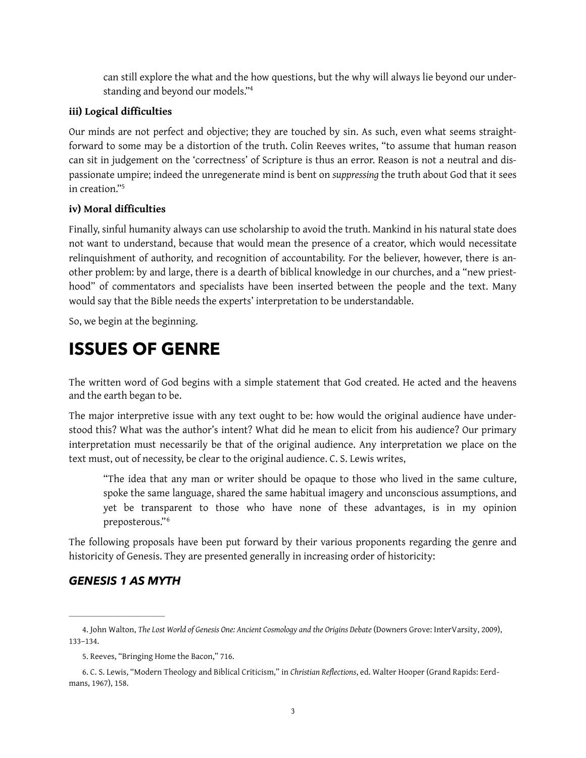<span id="page-2-3"></span>can still explore the what and the how questions, but the why will always lie beyond our understanding and beyond our models.["4](#page-2-0)

#### **iii) Logical difficulties**

Our minds are not perfect and objective; they are touched by sin. As such, even what seems straightforward to some may be a distortion of the truth. Colin Reeves writes, "to assume that human reason can sit in judgement on the 'correctness' of Scripture is thus an error. Reason is not a neutral and dispassionate umpire; indeed the unregenerate mind is bent on *suppressing* the truth about God that it sees in creation.["5](#page-2-1)

#### <span id="page-2-4"></span>**iv) Moral difficulties**

Finally, sinful humanity always can use scholarship to avoid the truth. Mankind in his natural state does not want to understand, because that would mean the presence of a creator, which would necessitate relinquishment of authority, and recognition of accountability. For the believer, however, there is another problem: by and large, there is a dearth of biblical knowledge in our churches, and a "new priesthood" of commentators and specialists have been inserted between the people and the text. Many would say that the Bible needs the experts' interpretation to be understandable.

So, we begin at the beginning.

# **ISSUES OF GENRE**

The written word of God begins with a simple statement that God created. He acted and the heavens and the earth began to be.

The major interpretive issue with any text ought to be: how would the original audience have understood this? What was the author's intent? What did he mean to elicit from his audience? Our primary interpretation must necessarily be that of the original audience. Any interpretation we place on the text must, out of necessity, be clear to the original audience. C. S. Lewis writes,

<span id="page-2-5"></span>"The idea that any man or writer should be opaque to those who lived in the same culture, spoke the same language, shared the same habitual imagery and unconscious assumptions, and yet be transparent to those who have none of these advantages, is in my opinion preposterous."[6](#page-2-2)

The following proposals have been put forward by their various proponents regarding the genre and historicity of Genesis. They are presented generally in increasing order of historicity:

# *GENESIS 1 AS MYTH*

<span id="page-2-0"></span>[<sup>4</sup>](#page-2-3). John Walton, *The Lost World of Genesis One: Ancient Cosmology and the Origins Debate* (Downers Grove: InterVarsity, 2009), 133–134.

<span id="page-2-1"></span>[<sup>5</sup>](#page-2-4). Reeves, "Bringing Home the Bacon," 716.

<span id="page-2-2"></span>[<sup>6</sup>](#page-2-5). C. S. Lewis, "Modern Theology and Biblical Criticism," in *Christian Reflections*, ed. Walter Hooper (Grand Rapids: Eerdmans, 1967), 158.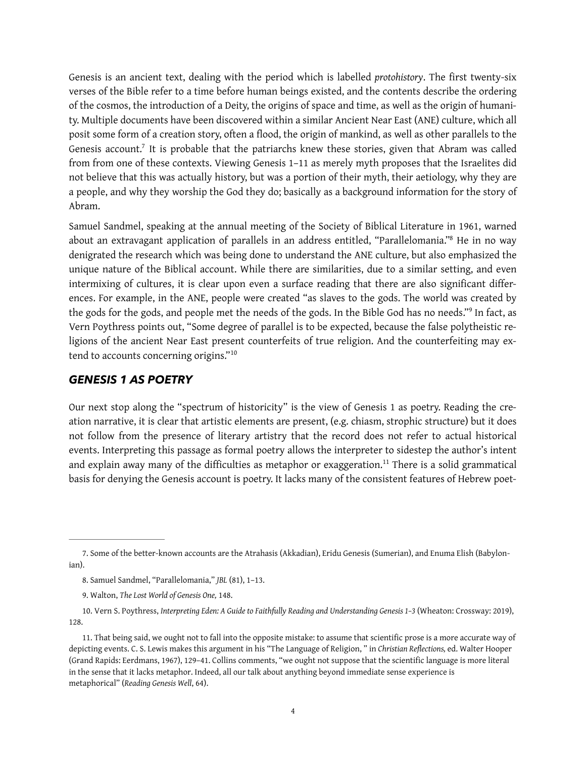Genesis is an ancient text, dealing with the period which is labelled *protohistory*. The first twenty-six verses of the Bible refer to a time before human beings existed, and the contents describe the ordering of the cosmos, the introduction of a Deity, the origins of space and time, as well as the origin of humanity. Multiple documents have been discovered within a similar Ancient Near East (ANE) culture, which all posit some form of a creation story, often a flood, the origin of mankind, as well as other parallels to the Genesis account.<sup>[7](#page-3-0)</sup> It is probable that the patriarchs knew these stories, given that Abram was called from from one of these contexts. Viewing Genesis 1–11 as merely myth proposes that the Israelites did not believe that this was actually history, but was a portion of their myth, their aetiology, why they are a people, and why they worship the God they do; basically as a background information for the story of Abram.

<span id="page-3-6"></span><span id="page-3-5"></span>Samuel Sandmel, speaking at the annual meeting of the Society of Biblical Literature in 1961, warned about an extravagant application of parallels in an address entitled, "Parallelomania."<sup>[8](#page-3-1)</sup> He in no way denigrated the research which was being done to understand the ANE culture, but also emphasized the unique nature of the Biblical account. While there are similarities, due to a similar setting, and even intermixing of cultures, it is clear upon even a surface reading that there are also significant differences. For example, in the ANE, people were created "as slaves to the gods. The world was created by the gods for the gods, and people met the needs of the gods. In the Bible God has no needs."<sup>[9](#page-3-2)</sup> In fact, as Vern Poythress points out, "Some degree of parallel is to be expected, because the false polytheistic religions of the ancient Near East present counterfeits of true religion. And the counterfeiting may extend to accounts concerning origins."[10](#page-3-3)

#### <span id="page-3-8"></span><span id="page-3-7"></span>*GENESIS 1 AS POETRY*

<span id="page-3-9"></span>Our next stop along the "spectrum of historicity" is the view of Genesis 1 as poetry. Reading the creation narrative, it is clear that artistic elements are present, (e.g. chiasm, strophic structure) but it does not follow from the presence of literary artistry that the record does not refer to actual historical events. Interpreting this passage as formal poetry allows the interpreter to sidestep the author's intent andexplain away many of the difficulties as metaphor or exaggeration.<sup>[11](#page-3-4)</sup> There is a solid grammatical basis for denying the Genesis account is poetry. It lacks many of the consistent features of Hebrew poet-

<span id="page-3-0"></span>[<sup>7</sup>](#page-3-5). Some of the better-known accounts are the Atrahasis (Akkadian), Eridu Genesis (Sumerian), and Enuma Elish (Babylonian).

<span id="page-3-1"></span>[<sup>8</sup>](#page-3-6). Samuel Sandmel, "Parallelomania," *JBL* (81), 1–13.

<span id="page-3-2"></span>[<sup>9</sup>](#page-3-7). Walton, *The Lost World of Genesis One,* 148.

<span id="page-3-3"></span>[<sup>10.</sup>](#page-3-8) Vern S. Poythress, *Interpreting Eden: A Guide to Faithfully Reading and Understanding Genesis 1–3* (Wheaton: Crossway: 2019), 128.

<span id="page-3-4"></span>[<sup>11.</sup>](#page-3-9) That being said, we ought not to fall into the opposite mistake: to assume that scientific prose is a more accurate way of depicting events. C. S. Lewis makes this argument in his "The Language of Religion, " in *Christian Reflections,* ed. Walter Hooper (Grand Rapids: Eerdmans, 1967), 129–41. Collins comments, "we ought not suppose that the scientific language is more literal in the sense that it lacks metaphor. Indeed, all our talk about anything beyond immediate sense experience is metaphorical" (*Reading Genesis Well*, 64).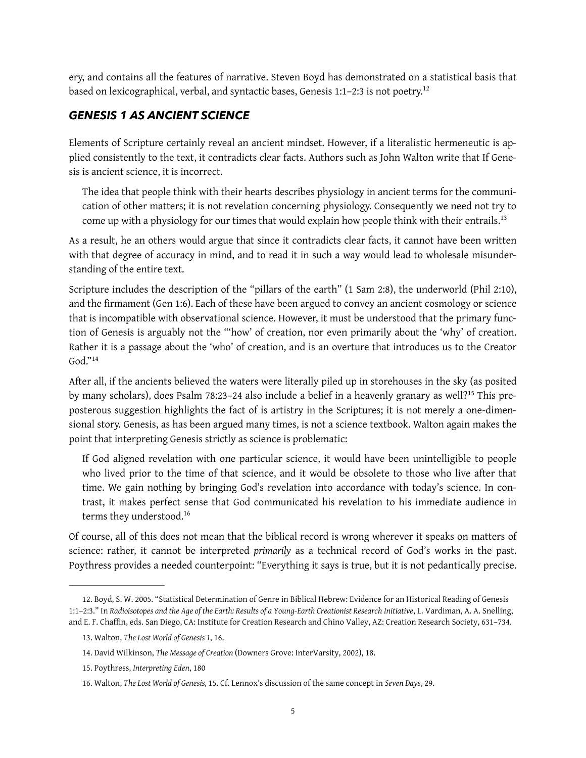ery, and contains all the features of narrative. Steven Boyd has demonstrated on a statistical basis that based on lexicographical, verbal, and syntactic bases, Genesis 1:1-2:3 is not poetry.<sup>[12](#page-4-0)</sup>

### *GENESIS 1 AS ANCIENT SCIENCE*

Elements of Scripture certainly reveal an ancient mindset. However, if a literalistic hermeneutic is applied consistently to the text, it contradicts clear facts. Authors such as John Walton write that If Genesis is ancient science, it is incorrect.

<span id="page-4-6"></span><span id="page-4-5"></span>The idea that people think with their hearts describes physiology in ancient terms for the communication of other matters; it is not revelation concerning physiology. Consequently we need not try to come up with a physiology for our times that would explain how people think with their entrails.<sup>13</sup>

As a result, he an others would argue that since it contradicts clear facts, it cannot have been written with that degree of accuracy in mind, and to read it in such a way would lead to wholesale misunderstanding of the entire text.

Scripture includes the description of the "pillars of the earth" (1 Sam 2:8), the underworld (Phil 2:10), and the frmament (Gen 1:6). Each of these have been argued to convey an ancient cosmology or science that is incompatible with observational science. However, it must be understood that the primary function of Genesis is arguably not the "'how' of creation, nor even primarily about the 'why' of creation. Rather it is a passage about the 'who' of creation, and is an overture that introduces us to the Creator  $God."14$  $God."14$ 

<span id="page-4-7"></span>After all, if the ancients believed the waters were literally piled up in storehouses in the sky (as posited bymany scholars), does Psalm 78:23–24 also include a belief in a heavenly granary as well?<sup>15</sup> This preposterous suggestion highlights the fact of is artistry in the Scriptures; it is not merely a one-dimensional story. Genesis, as has been argued many times, is not a science textbook. Walton again makes the point that interpreting Genesis strictly as science is problematic:

<span id="page-4-8"></span>If God aligned revelation with one particular science, it would have been unintelligible to people who lived prior to the time of that science, and it would be obsolete to those who live after that time. We gain nothing by bringing God's revelation into accordance with today's science. In contrast, it makes perfect sense that God communicated his revelation to his immediate audience in terms they understood.<sup>[16](#page-4-4)</sup>

<span id="page-4-9"></span>Of course, all of this does not mean that the biblical record is wrong wherever it speaks on matters of science: rather, it cannot be interpreted *primarily* as a technical record of God's works in the past. Poythress provides a needed counterpoint: "Everything it says is true, but it is not pedantically precise.

<span id="page-4-0"></span>[<sup>12.</sup>](#page-4-5) Boyd, S. W. 2005. "Statistical Determination of Genre in Biblical Hebrew: Evidence for an Historical Reading of Genesis 1:1–2:3." In *Radioisotopes and the Age of the Earth: Results of a Young-Earth Creationist Research Initiative*, L. Vardiman, A. A. Snelling, and E. F. Chaffin, eds. San Diego, CA: Institute for Creation Research and Chino Valley, AZ: Creation Research Society, 631–734.

<span id="page-4-1"></span>[<sup>13.</sup>](#page-4-6) Walton, *The Lost World of Genesis 1*, 16.

<span id="page-4-2"></span>[<sup>14.</sup>](#page-4-7) David Wilkinson, *The Message of Creation* (Downers Grove: InterVarsity, 2002), 18.

<span id="page-4-3"></span>[<sup>15.</sup>](#page-4-8) Poythress, *Interpreting Eden*, 180

<span id="page-4-4"></span>[<sup>16.</sup>](#page-4-9) Walton, *The Lost World of Genesis,* 15. Cf. Lennox's discussion of the same concept in *Seven Days*, 29.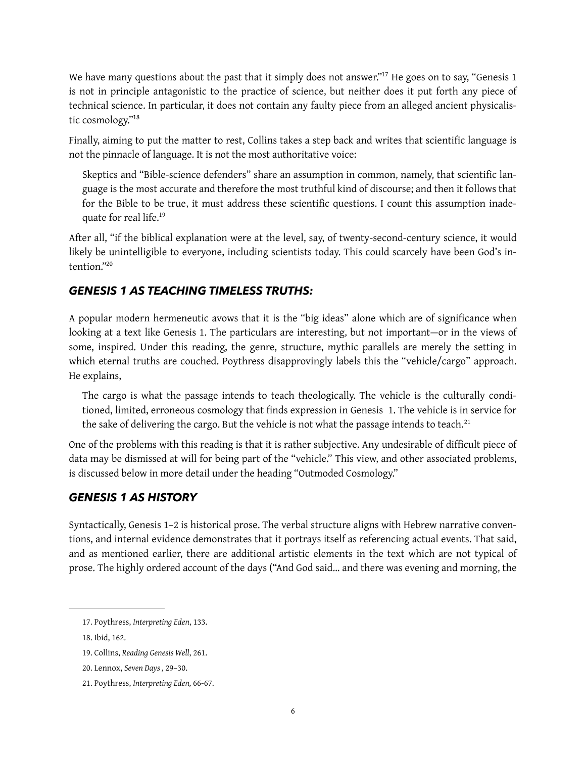<span id="page-5-5"></span>We have many questions about the past that it simply does not answer."<sup>[17](#page-5-0)</sup> He goes on to say, "Genesis 1 is not in principle antagonistic to the practice of science, but neither does it put forth any piece of technical science. In particular, it does not contain any faulty piece from an alleged ancient physicalistic cosmology.["18](#page-5-1)

<span id="page-5-6"></span>Finally, aiming to put the matter to rest, Collins takes a step back and writes that scientific language is not the pinnacle of language. It is not the most authoritative voice:

<span id="page-5-7"></span>Skeptics and "Bible-science defenders" share an assumption in common, namely, that scientifc language is the most accurate and therefore the most truthful kind of discourse; and then it follows that for the Bible to be true, it must address these scientific questions. I count this assumption inadequate for real life[.19](#page-5-2)

After all, "if the biblical explanation were at the level, say, of twenty-second-century science, it would likely be unintelligible to everyone, including scientists today. This could scarcely have been God's in-tention<sup>["20](#page-5-3)</sup>

#### <span id="page-5-8"></span>*GENESIS 1 AS TEACHING TIMELESS TRUTHS:*

A popular modern hermeneutic avows that it is the "big ideas" alone which are of signifcance when looking at a text like Genesis 1. The particulars are interesting, but not important—or in the views of some, inspired. Under this reading, the genre, structure, mythic parallels are merely the setting in which eternal truths are couched. Poythress disapprovingly labels this the "vehicle/cargo" approach. He explains,

<span id="page-5-9"></span>The cargo is what the passage intends to teach theologically. The vehicle is the culturally conditioned, limited, erroneous cosmology that fnds expression in Genesis 1. The vehicle is in service for the sake of delivering the cargo. But the vehicle is not what the passage intends to teach.<sup>[21](#page-5-4)</sup>

One of the problems with this reading is that it is rather subjective. Any undesirable of difficult piece of data may be dismissed at will for being part of the "vehicle." This view, and other associated problems, is discussed below in more detail under the heading "Outmoded Cosmology."

#### *GENESIS 1 AS HISTORY*

Syntactically, Genesis 1–2 is historical prose. The verbal structure aligns with Hebrew narrative conventions, and internal evidence demonstrates that it portrays itself as referencing actual events. That said, and as mentioned earlier, there are additional artistic elements in the text which are not typical of prose. The highly ordered account of the days ("And God said… and there was evening and morning, the

<span id="page-5-0"></span>[<sup>17.</sup>](#page-5-5) Poythress, *Interpreting Eden*, 133.

<span id="page-5-1"></span>[<sup>18.</sup>](#page-5-6) Ibid, 162.

<span id="page-5-2"></span>[<sup>19.</sup>](#page-5-7) Collins, *Reading Genesis Well*, 261.

<span id="page-5-3"></span>[<sup>20.</sup>](#page-5-8) Lennox, *Seven Days ,* 29–30.

<span id="page-5-4"></span>[<sup>21.</sup>](#page-5-9) Poythress, *Interpreting Eden,* 66-67.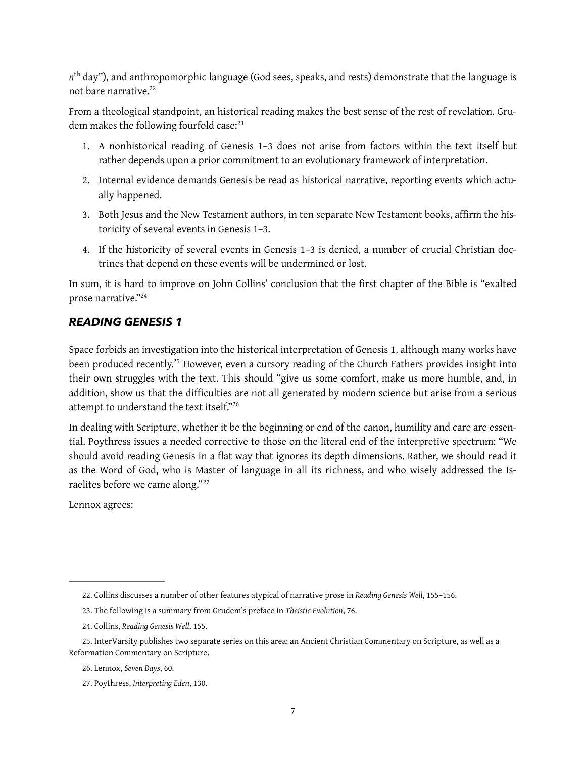*n*th day"), and anthropomorphic language (God sees, speaks, and rests) demonstrate that the language is not bare narrative.<sup>22</sup>

From a theological standpoint, an historical reading makes the best sense of the rest of revelation. Grudem makes the following fourfold case:<sup>23</sup>

- <span id="page-6-7"></span><span id="page-6-6"></span>1. A nonhistorical reading of Genesis 1–3 does not arise from factors within the text itself but rather depends upon a prior commitment to an evolutionary framework of interpretation.
- 2. Internal evidence demands Genesis be read as historical narrative, reporting events which actually happened.
- 3. Both Jesus and the New Testament authors, in ten separate New Testament books, affirm the historicity of several events in Genesis 1–3.
- 4. If the historicity of several events in Genesis 1–3 is denied, a number of crucial Christian doctrines that depend on these events will be undermined or lost.

In sum, it is hard to improve on John Collins' conclusion that the frst chapter of the Bible is "exalted prose narrative.["24](#page-6-2)

### <span id="page-6-8"></span>*READING GENESIS 1*

<span id="page-6-9"></span>Space forbids an investigation into the historical interpretation of Genesis 1, although many works have been produced recently[.](#page-6-3)<sup>[25](#page-6-3)</sup> However, even a cursory reading of the Church Fathers provides insight into their own struggles with the text. This should "give us some comfort, make us more humble, and, in addition, show us that the difficulties are not all generated by modern science but arise from a serious attempt to understand the text itself.["26](#page-6-4)

<span id="page-6-10"></span>In dealing with Scripture, whether it be the beginning or end of the canon, humility and care are essential. Poythress issues a needed corrective to those on the literal end of the interpretive spectrum: "We should avoid reading Genesis in a flat way that ignores its depth dimensions. Rather, we should read it as the Word of God, who is Master of language in all its richness, and who wisely addressed the Israelites before we came along."[27](#page-6-5)

<span id="page-6-11"></span>Lennox agrees:

<span id="page-6-0"></span>[<sup>22.</sup>](#page-6-6) Collins discusses a number of other features atypical of narrative prose in *Reading Genesis Well*, 155–156.

<span id="page-6-1"></span>[<sup>23.</sup>](#page-6-7) The following is a summary from Grudem's preface in *Theistic Evolution*, 76.

<span id="page-6-2"></span>[<sup>24.</sup>](#page-6-8) Collins, *Reading Genesis Well*, 155.

<span id="page-6-3"></span>[<sup>25.</sup>](#page-6-9) InterVarsity publishes two separate series on this area: an Ancient Christian Commentary on Scripture, as well as a Reformation Commentary on Scripture.

<span id="page-6-4"></span>[<sup>26.</sup>](#page-6-10) Lennox, *Seven Days*, 60.

<span id="page-6-5"></span>[<sup>27.</sup>](#page-6-11) Poythress, *Interpreting Eden*, 130.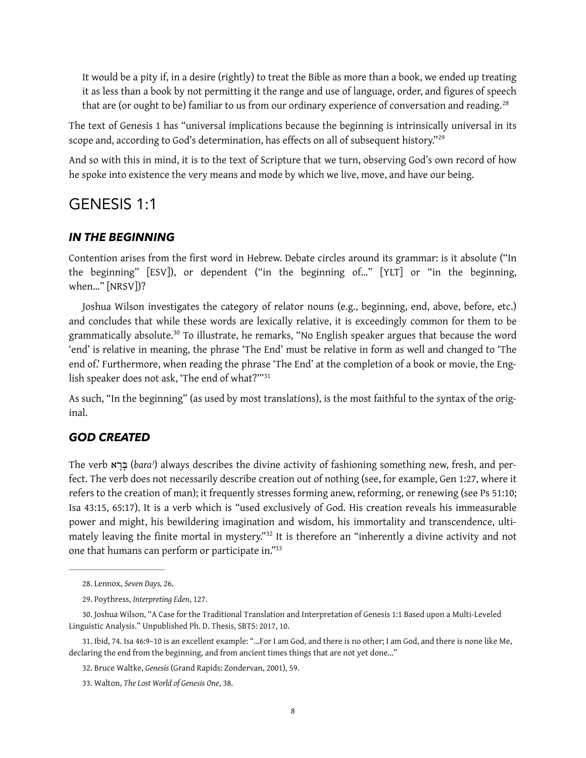<span id="page-7-7"></span><span id="page-7-6"></span>It would be a pity if, in a desire (rightly) to treat the Bible as more than a book, we ended up treating it as less than a book by not permitting it the range and use of language, order, and figures of speech that are (or ought to be) familiar to us from our ordinary experience of conversation and reading.<sup>[28](#page-7-0)</sup>

The text of Genesis 1 has "universal implications because the beginning is intrinsically universal in its scope and, according to God's determination, has effects on all of subsequent history."<sup>[29](#page-7-1)</sup>

And so with this in mind, it is to the text of Scripture that we turn, observing God's own record of how he spoke into existence the very means and mode by which we live, move, and have our being.

# GENESIS 1:1

#### *IN THE BEGINNING*

Contention arises from the first word in Hebrew. Debate circles around its grammar: is it absolute ("In the beginning" [ESV]), or dependent ("in the beginning of…" [YLT] or "in the beginning, when…" [NRSV])?

<span id="page-7-8"></span>Joshua Wilson investigates the category of relator nouns (e.g., beginning, end, above, before, etc.) and concludes that while these words are lexically relative, it is exceedingly common for them to be grammatically absolute[.](#page-7-2)<sup>[30](#page-7-2)</sup> To illustrate, he remarks, "No English speaker argues that because the word 'end' is relative in meaning, the phrase 'The End' must be relative in form as well and changed to 'The end of.' Furthermore, when reading the phrase 'The End' at the completion of a book or movie, the Eng-lish speaker does not ask, 'The end of what?"<sup>[31](#page-7-3)</sup>

<span id="page-7-9"></span>As such, "In the beginning" (as used by most translations), is the most faithful to the syntax of the original.

#### *GOD CREATED*

The verb א ָר ָבּ) *baraʾ*) always describes the divine activity of fashioning something new, fresh, and perfect. The verb does not necessarily describe creation out of nothing (see, for example, Gen 1:27, where it refers to the creation of man); it frequently stresses forming anew, reforming, or renewing (see Ps 51:10; Isa 43:15, 65:17). It is a verb which is "used exclusively of God. His creation reveals his immeasurable power and might, his bewildering imagination and wisdom, his immortality and transcendence, ulti-matelyleaving the finite mortal in mystery."<sup>[32](#page-7-4)</sup> It is therefore an "inherently a divine activity and not one that humans can perform or participate in.["33](#page-7-5)

<span id="page-7-11"></span><span id="page-7-10"></span><span id="page-7-0"></span>[<sup>28.</sup>](#page-7-6) Lennox, *Seven Days,* 26.

<span id="page-7-1"></span>[<sup>29.</sup>](#page-7-7) Poythress, *Interpreting Eden*, 127.

<span id="page-7-2"></span>[<sup>30.</sup>](#page-7-8) Joshua Wilson, "A Case for the Traditional Translation and Interpretation of Genesis 1:1 Based upon a Multi-Leveled Linguistic Analysis." Unpublished Ph. D. Thesis, SBTS: 2017, 10.

<span id="page-7-3"></span>[<sup>31.</sup>](#page-7-9) Ibid, 74. Isa 46:9–10 is an excellent example: "…For I am God, and there is no other; I am God, and there is none like Me, declaring the end from the beginning, and from ancient times things that are not yet done…"

<span id="page-7-4"></span>[<sup>32.</sup>](#page-7-10) Bruce Waltke, *Genesis* (Grand Rapids: Zondervan, 2001), 59.

<span id="page-7-5"></span>[<sup>33.</sup>](#page-7-11) Walton, *The Lost World of Genesis One*, 38.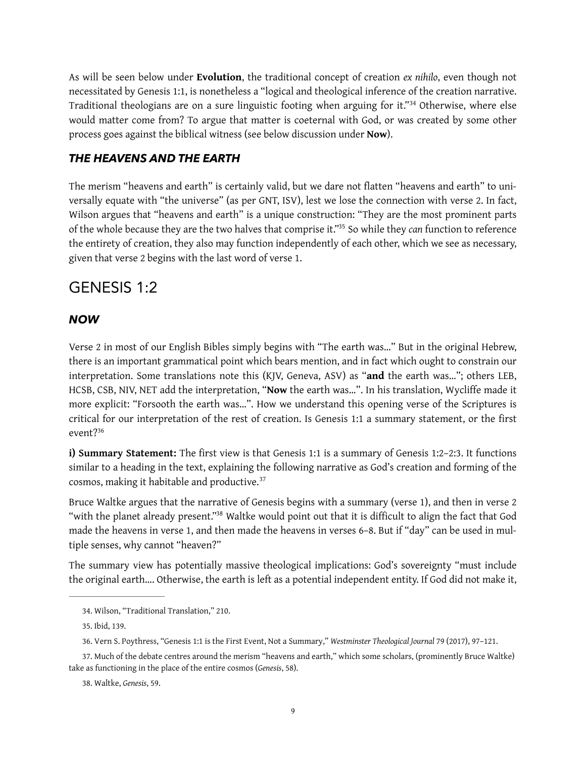<span id="page-8-5"></span>As will be seen below under **Evolution**, the traditional concept of creation *ex nihilo*, even though not necessitated by Genesis 1:1, is nonetheless a "logical and theological inference of the creation narrative. Traditionaltheologians are on a sure linguistic footing when arguing for it."<sup>[34](#page-8-0)</sup> Otherwise, where else would matter come from? To argue that matter is coeternal with God, or was created by some other process goes against the biblical witness (see below discussion under **Now**).

#### *THE HEAVENS AND THE EARTH*

<span id="page-8-6"></span>The merism "heavens and earth" is certainly valid, but we dare not fatten "heavens and earth" to universally equate with "the universe" (as per GNT, ISV), lest we lose the connection with verse 2. In fact, Wilson argues that "heavens and earth" is a unique construction: "They are the most prominent parts of the whole because they are the two halves that comprise it."<sup>[35](#page-8-1)</sup> So while they *can* function to reference the entirety of creation, they also may function independently of each other, which we see as necessary, given that verse 2 begins with the last word of verse 1.

# GENESIS 1:2

#### *NOW*

Verse 2 in most of our English Bibles simply begins with "The earth was…" But in the original Hebrew, there is an important grammatical point which bears mention, and in fact which ought to constrain our interpretation. Some translations note this (KJV, Geneva, ASV) as "**and** the earth was…"; others LEB, HCSB, CSB, NIV, NET add the interpretation, "**Now** the earth was…". In his translation, Wyclife made it more explicit: "Forsooth the earth was…". How we understand this opening verse of the Scriptures is critical for our interpretation of the rest of creation. Is Genesis 1:1 a summary statement, or the first event?[36](#page-8-2)

<span id="page-8-7"></span>**i) Summary Statement:** The first view is that Genesis 1:1 is a summary of Genesis 1:2-2:3. It functions similar to a heading in the text, explaining the following narrative as God's creation and forming of the cosmos, making it habitable and productive.[37](#page-8-3)

<span id="page-8-9"></span><span id="page-8-8"></span>Bruce Waltke argues that the narrative of Genesis begins with a summary (verse 1), and then in verse 2 "with the planet already present."<sup>[38](#page-8-4)</sup> Waltke would point out that it is difficult to align the fact that God made the heavens in verse 1, and then made the heavens in verses 6–8. But if "day" can be used in multiple senses, why cannot "heaven?"

The summary view has potentially massive theological implications: God's sovereignty "must include the original earth…. Otherwise, the earth is left as a potential independent entity. If God did not make it,

<span id="page-8-0"></span>[<sup>34.</sup>](#page-8-5) Wilson, "Traditional Translation," 210.

<span id="page-8-1"></span>[<sup>35.</sup>](#page-8-6) Ibid, 139.

<span id="page-8-2"></span>[<sup>36.</sup>](#page-8-7) Vern S. Poythress, "Genesis 1:1 is the First Event, Not a Summary," *Westminster Theological Journal* 79 (2017), 97–121.

<span id="page-8-3"></span>[<sup>37.</sup>](#page-8-8) Much of the debate centres around the merism "heavens and earth," which some scholars, (prominently Bruce Waltke) take as functioning in the place of the entire cosmos (*Genesis*, 58).

<span id="page-8-4"></span>[<sup>38.</sup>](#page-8-9) Waltke, *Genesis*, 59.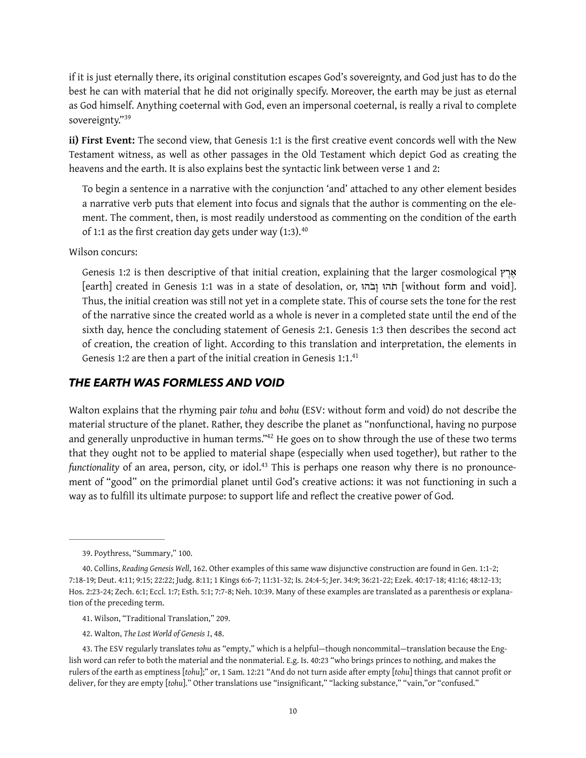if it is just eternally there, its original constitution escapes God's sovereignty, and God just has to do the best he can with material that he did not originally specify. Moreover, the earth may be just as eternal as God himself. Anything coeternal with God, even an impersonal coeternal, is really a rival to complete sovereignty."[39](#page-9-0)

<span id="page-9-5"></span>**ii) First Event:** The second view, that Genesis 1:1 is the frst creative event concords well with the New Testament witness, as well as other passages in the Old Testament which depict God as creating the heavens and the earth. It is also explains best the syntactic link between verse 1 and 2:

To begin a sentence in a narrative with the conjunction 'and' attached to any other element besides a narrative verb puts that element into focus and signals that the author is commenting on the element. The comment, then, is most readily understood as commenting on the condition of the earth of 1:1 as the first creation day gets under way  $(1:3).40$  $(1:3).40$ 

Wilson concurs:

<span id="page-9-6"></span>Genesis 1:2 is then descriptive of that initial creation, explaining that the larger cosmological  $\gamma_{N}$ [earth] created in Genesis 1:1 was in a state of desolation, or, הוֹּב ָו הוֹּת] without form and void]. Thus, the initial creation was still not yet in a complete state. This of course sets the tone for the rest of the narrative since the created world as a whole is never in a completed state until the end of the sixth day, hence the concluding statement of Genesis 2:1. Genesis 1:3 then describes the second act of creation, the creation of light. According to this translation and interpretation, the elements in Genesis 1:2 are then a part of the initial creation in Genesis 1:1.<sup>41</sup>

#### <span id="page-9-7"></span>*THE EARTH WAS FORMLESS AND VOID*

<span id="page-9-8"></span>Walton explains that the rhyming pair *tohu* and *bohu* (ESV: without form and void) do not describe the material structure of the planet. Rather, they describe the planet as "nonfunctional, having no purpose and generally unproductive in human terms.["](#page-9-3)<sup>[42](#page-9-3)</sup> He goes on to show through the use of these two terms that they ought not to be applied to material shape (especially when used together), but rather to the *functionality* of an area, person, city, or idol[.](#page-9-4)<sup>43</sup> This is perhaps one reason why there is no pronouncement of "good" on the primordial planet until God's creative actions: it was not functioning in such a way as to fulfll its ultimate purpose: to support life and refect the creative power of God.

<span id="page-9-9"></span><span id="page-9-0"></span>[<sup>39.</sup>](#page-9-5) Poythress, "Summary," 100.

<span id="page-9-1"></span>[<sup>40.</sup>](#page-9-6) Collins, *Reading Genesis Well*, 162. Other examples of this same waw disjunctive construction are found in Gen. 1:1-2; 7:18-19; Deut. 4:11; 9:15; 22:22; Judg. 8:11; 1 Kings 6:6-7; 11:31-32; Is. 24:4-5; Jer. 34:9; 36:21-22; Ezek. 40:17-18; 41:16; 48:12-13; Hos. 2:23-24; Zech. 6:1; Eccl. 1:7; Esth. 5:1; 7:7-8; Neh. 10:39. Many of these examples are translated as a parenthesis or explanation of the preceding term.

<span id="page-9-2"></span>[<sup>41.</sup>](#page-9-7) Wilson, "Traditional Translation," 209.

<span id="page-9-3"></span>[<sup>42.</sup>](#page-9-8) Walton, *The Lost World of Genesis 1*, 48.

<span id="page-9-4"></span>[<sup>43.</sup>](#page-9-9) The ESV regularly translates *tohu* as "empty," which is a helpful—though noncommital—translation because the English word can refer to both the material and the nonmaterial. E.g. Is. 40:23 "who brings princes to nothing, and makes the rulers of the earth as emptiness [*tohu*];" or, 1 Sam. 12:21 "And do not turn aside after empty [*tohu*] things that cannot profit or deliver, for they are empty [*tohu*]." Other translations use "insignificant," "lacking substance," "vain,"or "confused."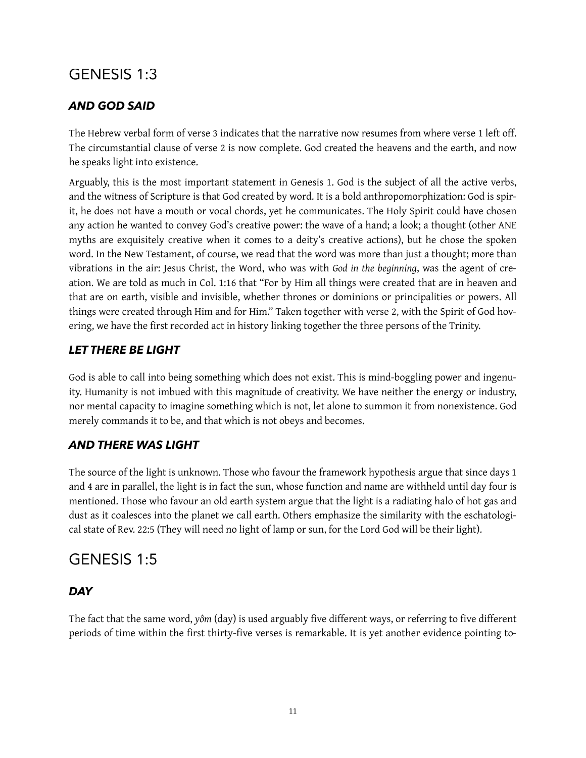# GENESIS 1:3

# *AND GOD SAID*

The Hebrew verbal form of verse 3 indicates that the narrative now resumes from where verse 1 left off. The circumstantial clause of verse 2 is now complete. God created the heavens and the earth, and now he speaks light into existence.

Arguably, this is the most important statement in Genesis 1. God is the subject of all the active verbs, and the witness of Scripture is that God created by word. It is a bold anthropomorphization: God is spirit, he does not have a mouth or vocal chords, yet he communicates. The Holy Spirit could have chosen any action he wanted to convey God's creative power: the wave of a hand; a look; a thought (other ANE myths are exquisitely creative when it comes to a deity's creative actions), but he chose the spoken word. In the New Testament, of course, we read that the word was more than just a thought; more than vibrations in the air: Jesus Christ, the Word, who was with *God in the beginning*, was the agent of creation. We are told as much in Col. 1:16 that "For by Him all things were created that are in heaven and that are on earth, visible and invisible, whether thrones or dominions or principalities or powers. All things were created through Him and for Him." Taken together with verse 2, with the Spirit of God hovering, we have the frst recorded act in history linking together the three persons of the Trinity.

# *LET THERE BE LIGHT*

God is able to call into being something which does not exist. This is mind-boggling power and ingenuity. Humanity is not imbued with this magnitude of creativity. We have neither the energy or industry, nor mental capacity to imagine something which is not, let alone to summon it from nonexistence. God merely commands it to be, and that which is not obeys and becomes.

# *AND THERE WAS LIGHT*

The source of the light is unknown. Those who favour the framework hypothesis argue that since days 1 and 4 are in parallel, the light is in fact the sun, whose function and name are withheld until day four is mentioned. Those who favour an old earth system argue that the light is a radiating halo of hot gas and dust as it coalesces into the planet we call earth. Others emphasize the similarity with the eschatological state of Rev. 22:5 (They will need no light of lamp or sun, for the Lord God will be their light).

# GENESIS 1:5

# *DAY*

The fact that the same word, yôm (day) is used arguably five different ways, or referring to five different periods of time within the first thirty-five verses is remarkable. It is yet another evidence pointing to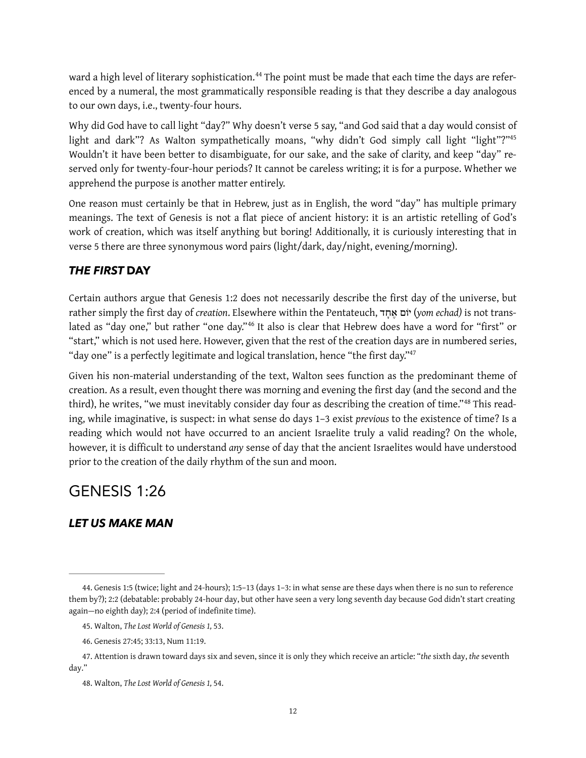<span id="page-11-5"></span>ward a high level of literary sophistication[.](#page-11-0)<sup>44</sup> The point must be made that each time the days are referenced by a numeral, the most grammatically responsible reading is that they describe a day analogous to our own days, i.e., twenty-four hours.

<span id="page-11-6"></span>Why did God have to call light "day?" Why doesn't verse 5 say, "and God said that a day would consist of light and dark"? As Walton sympathetically moans, "why didn't God simply call light "light"?"<sup>45</sup> Wouldn't it have been better to disambiguate, for our sake, and the sake of clarity, and keep "day" reserved only for twenty-four-hour periods? It cannot be careless writing; it is for a purpose. Whether we apprehend the purpose is another matter entirely.

One reason must certainly be that in Hebrew, just as in English, the word "day" has multiple primary meanings. The text of Genesis is not a flat piece of ancient history: it is an artistic retelling of God's work of creation, which was itself anything but boring! Additionally, it is curiously interesting that in verse 5 there are three synonymous word pairs (light/dark, day/night, evening/morning).

# *THE FIRST* **DAY**

<span id="page-11-7"></span>Certain authors argue that Genesis 1:2 does not necessarily describe the frst day of the universe, but rather simply the frst day of *creation*. Elsewhere within the Pentateuch, ד ָח ֶא יוֹם) *yom echad)* is not trans-lated as "day one," but rather "one day."<sup>[46](#page-11-2)</sup> It also is clear that Hebrew does have a word for "first" or "start," which is not used here. However, given that the rest of the creation days are in numbered series, "day one" is a perfectly legitimate and logical translation, hence "the first day."<sup>47</sup>

<span id="page-11-9"></span><span id="page-11-8"></span>Given his non-material understanding of the text, Walton sees function as the predominant theme of creation. As a result, even thought there was morning and evening the frst day (and the second and the third),he writes, "we must inevitably consider day four as describing the creation of time."<sup>48</sup> This reading, while imaginative, is suspect: in what sense do days 1–3 exist *previous* to the existence of time? Is a reading which would not have occurred to an ancient Israelite truly a valid reading? On the whole, however, it is difficult to understand any sense of day that the ancient Israelites would have understood prior to the creation of the daily rhythm of the sun and moon.

# GENESIS 1:26

# *LET US MAKE MAN*

<span id="page-11-0"></span>[<sup>44.</sup>](#page-11-5) Genesis 1:5 (twice; light and 24-hours); 1:5–13 (days 1–3: in what sense are these days when there is no sun to reference them by?); 2:2 (debatable: probably 24-hour day, but other have seen a very long seventh day because God didn't start creating again—no eighth day); 2:4 (period of indefinite time).

<span id="page-11-1"></span>[<sup>45.</sup>](#page-11-6) Walton, *The Lost World of Genesis 1,* 53.

<span id="page-11-2"></span>[<sup>46.</sup>](#page-11-7) Genesis 27:45; 33:13, Num 11:19.

<span id="page-11-3"></span>[<sup>47.</sup>](#page-11-8) Attention is drawn toward days six and seven, since it is only they which receive an article: "*the* sixth day, *the* seventh day."

<span id="page-11-4"></span>[<sup>48.</sup>](#page-11-9) Walton, *The Lost World of Genesis 1,* 54.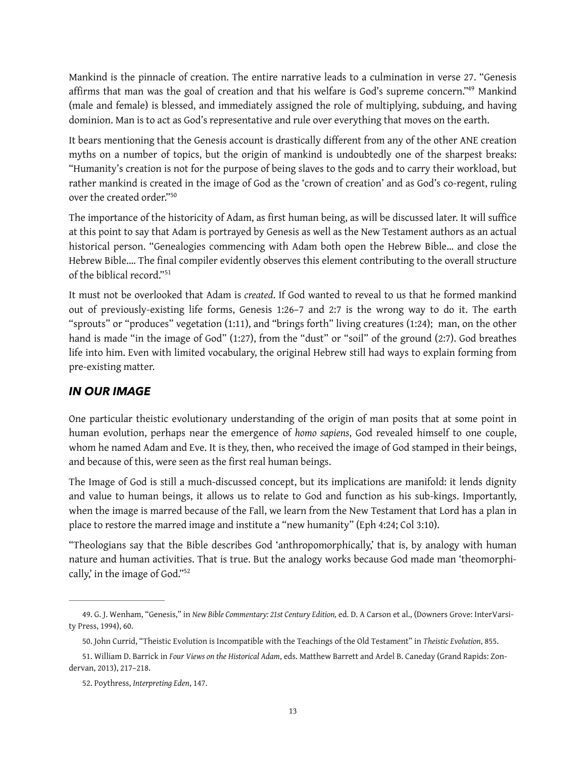<span id="page-12-4"></span>Mankind is the pinnacle of creation. The entire narrative leads to a culmination in verse 27. "Genesis affirms that man was the goal of creation and that his welfare is God's supreme concern.["](#page-12-0)<sup>[49](#page-12-0)</sup> Mankind (male and female) is blessed, and immediately assigned the role of multiplying, subduing, and having dominion. Man is to act as God's representative and rule over everything that moves on the earth.

It bears mentioning that the Genesis account is drastically diferent from any of the other ANE creation myths on a number of topics, but the origin of mankind is undoubtedly one of the sharpest breaks: "Humanity's creation is not for the purpose of being slaves to the gods and to carry their workload, but rather mankind is created in the image of God as the 'crown of creation' and as God's co-regent, ruling over the created order.["50](#page-12-1)

<span id="page-12-5"></span>The importance of the historicity of Adam, as first human being, as will be discussed later. It will suffice at this point to say that Adam is portrayed by Genesis as well as the New Testament authors as an actual historical person. "Genealogies commencing with Adam both open the Hebrew Bible… and close the Hebrew Bible.... The final compiler evidently observes this element contributing to the overall structure of the biblical record."[51](#page-12-2)

<span id="page-12-6"></span>It must not be overlooked that Adam is *created*. If God wanted to reveal to us that he formed mankind out of previously-existing life forms, Genesis 1:26–7 and 2:7 is the wrong way to do it. The earth "sprouts" or "produces" vegetation (1:11), and "brings forth" living creatures (1:24); man, on the other hand is made "in the image of God" (1:27), from the "dust" or "soil" of the ground (2:7). God breathes life into him. Even with limited vocabulary, the original Hebrew still had ways to explain forming from pre-existing matter.

#### *IN OUR IMAGE*

One particular theistic evolutionary understanding of the origin of man posits that at some point in human evolution, perhaps near the emergence of *homo sapiens*, God revealed himself to one couple, whom he named Adam and Eve. It is they, then, who received the image of God stamped in their beings, and because of this, were seen as the first real human beings.

The Image of God is still a much-discussed concept, but its implications are manifold: it lends dignity and value to human beings, it allows us to relate to God and function as his sub-kings. Importantly, when the image is marred because of the Fall, we learn from the New Testament that Lord has a plan in place to restore the marred image and institute a "new humanity" (Eph 4:24; Col 3:10).

<span id="page-12-7"></span>"Theologians say that the Bible describes God 'anthropomorphically,' that is, by analogy with human nature and human activities. That is true. But the analogy works because God made man 'theomorphically,' in the image of God.["52](#page-12-3)

<span id="page-12-0"></span>[<sup>49.</sup>](#page-12-4) G. J. Wenham, "Genesis," in *New Bible Commentary: 21st Century Edition,* ed. D. A Carson et al., (Downers Grove: InterVarsity Press, 1994), 60.

<span id="page-12-1"></span>[<sup>50.</sup>](#page-12-5) John Currid, "Theistic Evolution is Incompatible with the Teachings of the Old Testament" in *Theistic Evolution*, 855.

<span id="page-12-2"></span>[<sup>51.</sup>](#page-12-6) William D. Barrick in *Four Views on the Historical Adam*, eds. Matthew Barrett and Ardel B. Caneday (Grand Rapids: Zondervan, 2013), 217–218.

<span id="page-12-3"></span>[<sup>52.</sup>](#page-12-7) Poythress, *Interpreting Eden*, 147.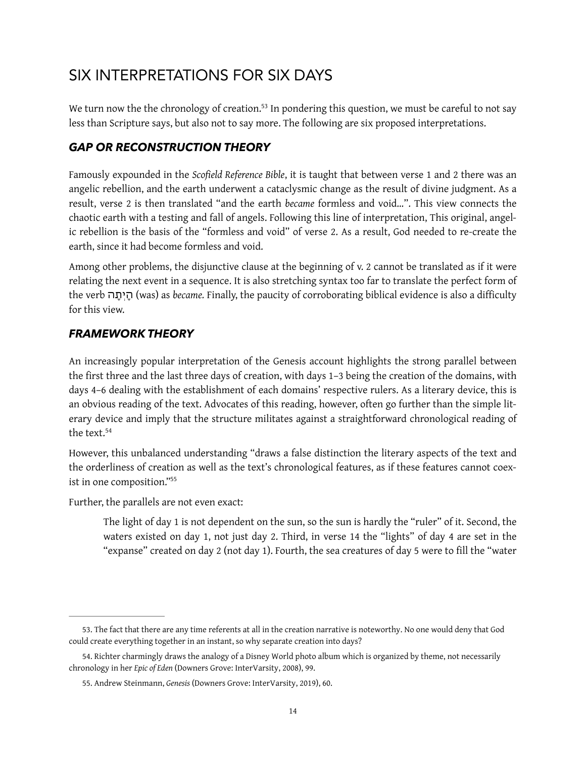# SIX INTERPRETATIONS FOR SIX DAYS

<span id="page-13-3"></span>We turn now the the chronology of creation[.](#page-13-0)<sup>[53](#page-13-0)</sup> In pondering this question, we must be careful to not say less than Scripture says, but also not to say more. The following are six proposed interpretations.

# *GAP OR RECONSTRUCTION THEORY*

Famously expounded in the *Scofeld Reference Bible*, it is taught that between verse 1 and 2 there was an angelic rebellion, and the earth underwent a cataclysmic change as the result of divine judgment. As a result, verse 2 is then translated "and the earth *became* formless and void…". This view connects the chaotic earth with a testing and fall of angels. Following this line of interpretation, This original, angelic rebellion is the basis of the "formless and void" of verse 2. As a result, God needed to re-create the earth, since it had become formless and void.

Among other problems, the disjunctive clause at the beginning of v. 2 cannot be translated as if it were relating the next event in a sequence. It is also stretching syntax too far to translate the perfect form of the verb הָתְיָה) was) as *became.* Finally, the paucity of corroborating biblical evidence is also a difculty for this view.

# *FRAMEWORK THEORY*

An increasingly popular interpretation of the Genesis account highlights the strong parallel between the frst three and the last three days of creation, with days 1–3 being the creation of the domains, with days 4–6 dealing with the establishment of each domains' respective rulers. As a literary device, this is an obvious reading of the text. Advocates of this reading, however, often go further than the simple literary device and imply that the structure militates against a straightforward chronological reading of the text.[54](#page-13-1)

<span id="page-13-4"></span>However, this unbalanced understanding "draws a false distinction the literary aspects of the text and the orderliness of creation as well as the text's chronological features, as if these features cannot coexist in one composition.["55](#page-13-2)

Further, the parallels are not even exact:

<span id="page-13-5"></span>The light of day 1 is not dependent on the sun, so the sun is hardly the "ruler" of it. Second, the waters existed on day 1, not just day 2. Third, in verse 14 the "lights" of day 4 are set in the "expanse" created on day 2 (not day 1). Fourth, the sea creatures of day 5 were to fll the "water

<span id="page-13-0"></span>[<sup>53.</sup>](#page-13-3) The fact that there are any time referents at all in the creation narrative is noteworthy. No one would deny that God could create everything together in an instant, so why separate creation into days?

<span id="page-13-1"></span>[<sup>54.</sup>](#page-13-4) Richter charmingly draws the analogy of a Disney World photo album which is organized by theme, not necessarily chronology in her *Epic of Eden* (Downers Grove: InterVarsity, 2008), 99.

<span id="page-13-2"></span>[<sup>55.</sup>](#page-13-5) Andrew Steinmann, *Genesis* (Downers Grove: InterVarsity, 2019), 60.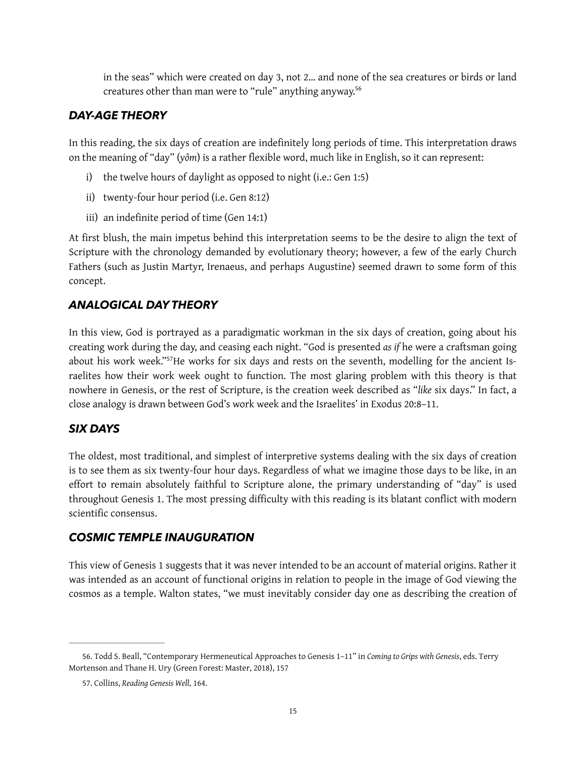<span id="page-14-2"></span>in the seas" which were created on day 3, not 2… and none of the sea creatures or birds or land creatures other than man were to "rule" anything anyway.<sup>56</sup>

### *DAY-AGE THEORY*

In this reading, the six days of creation are indefnitely long periods of time. This interpretation draws on the meaning of "day" (*yôm*) is a rather fexible word, much like in English, so it can represent:

- i) the twelve hours of daylight as opposed to night (i.e.: Gen 1:5)
- ii) twenty-four hour period (i.e. Gen 8:12)
- iii) an indefinite period of time (Gen 14:1)

At frst blush, the main impetus behind this interpretation seems to be the desire to align the text of Scripture with the chronology demanded by evolutionary theory; however, a few of the early Church Fathers (such as Justin Martyr, Irenaeus, and perhaps Augustine) seemed drawn to some form of this concept.

# *ANALOGICAL DAY THEORY*

<span id="page-14-3"></span>In this view, God is portrayed as a paradigmatic workman in the six days of creation, going about his creating work during the day, and ceasing each night. "God is presented *as if* he were a craftsman going about his work week."<sup>[57](#page-14-1)</sup>He works for six days and rests on the seventh, modelling for the ancient Israelites how their work week ought to function. The most glaring problem with this theory is that nowhere in Genesis, or the rest of Scripture, is the creation week described as "*like* six days." In fact, a close analogy is drawn between God's work week and the Israelites' in Exodus 20:8–11.

# *SIX DAYS*

The oldest, most traditional, and simplest of interpretive systems dealing with the six days of creation is to see them as six twenty-four hour days. Regardless of what we imagine those days to be like, in an efort to remain absolutely faithful to Scripture alone, the primary understanding of "day" is used throughout Genesis 1. The most pressing difficulty with this reading is its blatant conflict with modern scientific consensus.

#### *COSMIC TEMPLE INAUGURATION*

This view of Genesis 1 suggests that it was never intended to be an account of material origins. Rather it was intended as an account of functional origins in relation to people in the image of God viewing the cosmos as a temple. Walton states, "we must inevitably consider day one as describing the creation of

<span id="page-14-0"></span>[<sup>56.</sup>](#page-14-2) Todd S. Beall, "Contemporary Hermeneutical Approaches to Genesis 1–11" in *Coming to Grips with Genesis*, eds. Terry Mortenson and Thane H. Ury (Green Forest: Master, 2018), 157

<span id="page-14-1"></span>[<sup>57.</sup>](#page-14-3) Collins, *Reading Genesis Well*, 164.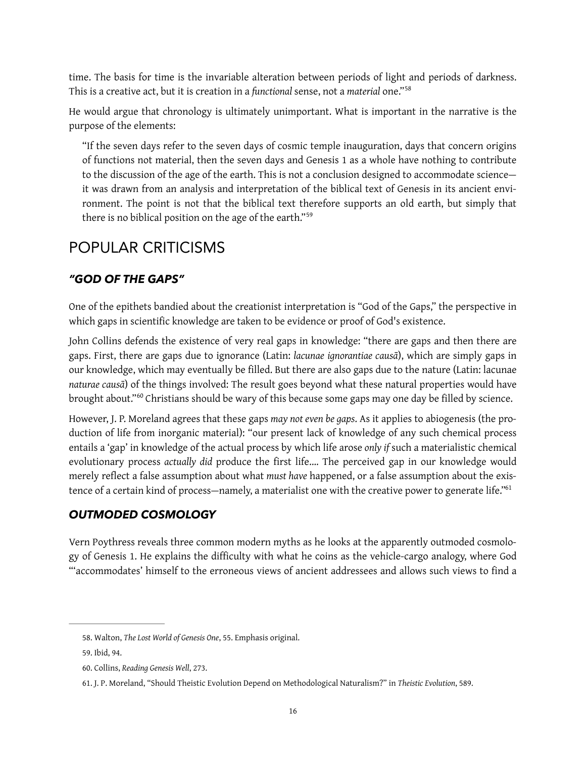time. The basis for time is the invariable alteration between periods of light and periods of darkness. This is a creative act, but it is creation in a *functional* sense, not a *material* one."[58](#page-15-0)

He would argue that chronology is ultimately unimportant. What is important in the narrative is the purpose of the elements:

<span id="page-15-5"></span><span id="page-15-4"></span>"If the seven days refer to the seven days of cosmic temple inauguration, days that concern origins of functions not material, then the seven days and Genesis 1 as a whole have nothing to contribute to the discussion of the age of the earth. This is not a conclusion designed to accommodate science it was drawn from an analysis and interpretation of the biblical text of Genesis in its ancient environment. The point is not that the biblical text therefore supports an old earth, but simply that there is no biblical position on the age of the earth."[59](#page-15-1)

# POPULAR CRITICISMS

# *"GOD OF THE GAPS"*

One of the epithets bandied about the creationist interpretation is "God of the Gaps," the perspective in which gaps in scientific knowledge are taken to be evidence or proof of God's existence.

John Collins defends the existence of very real gaps in knowledge: "there are gaps and then there are gaps. First, there are gaps due to ignorance (Latin: *lacunae ignorantiae causā*), which are simply gaps in our knowledge, which may eventually be filled. But there are also gaps due to the nature (Latin: lacunae *naturae causā*) of the things involved: The result goes beyond what these natural properties would have brought about."<sup>[60](#page-15-2)</sup> Christians should be wary of this because some gaps may one day be filled by science.

<span id="page-15-6"></span>However, J. P. Moreland agrees that these gaps *may not even be gaps*. As it applies to abiogenesis (the production of life from inorganic material): "our present lack of knowledge of any such chemical process entails a 'gap' in knowledge of the actual process by which life arose *only if* such a materialistic chemical evolutionary process *actually did* produce the first life.... The perceived gap in our knowledge would merely refect a false assumption about what *must have* happened, or a false assumption about the existence of a certain kind of process—namely, a materialist one with the creative power to generate life."<sup>61</sup>

# <span id="page-15-7"></span>*OUTMODED COSMOLOGY*

Vern Poythress reveals three common modern myths as he looks at the apparently outmoded cosmology of Genesis 1. He explains the difficulty with what he coins as the vehicle-cargo analogy, where God "'accommodates' himself to the erroneous views of ancient addressees and allows such views to fnd a

<span id="page-15-0"></span>[<sup>58.</sup>](#page-15-4) Walton, *The Lost World of Genesis One*, 55. Emphasis original.

<span id="page-15-1"></span>[<sup>59.</sup>](#page-15-5) Ibid, 94.

<span id="page-15-2"></span>[<sup>60.</sup>](#page-15-6) Collins, *Reading Genesis Well*, 273.

<span id="page-15-3"></span>[<sup>61.</sup>](#page-15-7) J. P. Moreland, "Should Theistic Evolution Depend on Methodological Naturalism?" in *Theistic Evolution*, 589.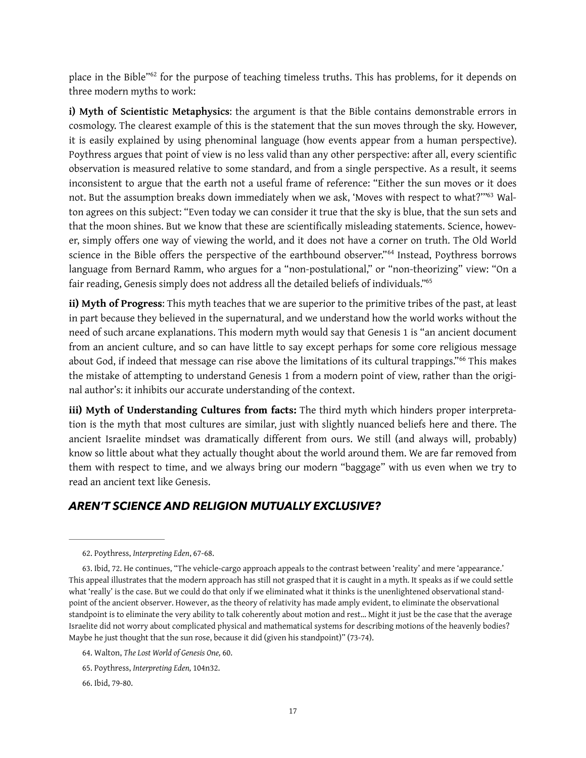<span id="page-16-5"></span>place in the Bible["](#page-16-0)<sup>[62](#page-16-0)</sup> for the purpose of teaching timeless truths. This has problems, for it depends on three modern myths to work:

<span id="page-16-6"></span>**i) Myth of Scientistic Metaphysics**: the argument is that the Bible contains demonstrable errors in cosmology. The clearest example of this is the statement that the sun moves through the sky. However, it is easily explained by using phenominal language (how events appear from a human perspective). Poythress argues that point of view is no less valid than any other perspective: after all, every scientifc observation is measured relative to some standard, and from a single perspective. As a result, it seems inconsistent to argue that the earth not a useful frame of reference: "Either the sun moves or it does not. But the assumption breaks down immediately when we ask, 'Moves with respect to what?["](#page-16-1)<sup>63</sup> Walton agrees on this subject: "Even today we can consider it true that the sky is blue, that the sun sets and that the moon shines. But we know that these are scientifically misleading statements. Science, however, simply offers one way of viewing the world, and it does not have a corner on truth. The Old World sciencein the Bible offers the perspective of the earthbound observer."<sup>[64](#page-16-2)</sup> Instead, Poythress borrows language from Bernard Ramm, who argues for a "non-postulational," or "non-theorizing" view: "On a fair reading, Genesis simply does not address all the detailed beliefs of individuals.["65](#page-16-3)

<span id="page-16-8"></span><span id="page-16-7"></span>**ii) Myth of Progress**: This myth teaches that we are superior to the primitive tribes of the past, at least in part because they believed in the supernatural, and we understand how the world works without the need of such arcane explanations. This modern myth would say that Genesis 1 is "an ancient document from an ancient culture, and so can have little to say except perhaps for some core religious message aboutGod, if indeed that message can rise above the limitations of its cultural trappings."<sup>[66](#page-16-4)</sup> This makes the mistake of attempting to understand Genesis 1 from a modern point of view, rather than the original author's: it inhibits our accurate understanding of the context.

<span id="page-16-9"></span>**iii) Myth of Understanding Cultures from facts:** The third myth which hinders proper interpretation is the myth that most cultures are similar, just with slightly nuanced beliefs here and there. The ancient Israelite mindset was dramatically diferent from ours. We still (and always will, probably) know so little about what they actually thought about the world around them. We are far removed from them with respect to time, and we always bring our modern "baggage" with us even when we try to read an ancient text like Genesis.

#### *AREN'T SCIENCE AND RELIGION MUTUALLY EXCLUSIVE?*

<span id="page-16-0"></span>[<sup>62.</sup>](#page-16-5) Poythress, *Interpreting Eden*, 67-68.

<span id="page-16-1"></span>[<sup>63.</sup>](#page-16-6) Ibid, 72. He continues, "The vehicle-cargo approach appeals to the contrast between 'reality' and mere 'appearance.' This appeal illustrates that the modern approach has still not grasped that it is caught in a myth. It speaks as if we could settle what 'really' is the case. But we could do that only if we eliminated what it thinks is the unenlightened observational standpoint of the ancient observer. However, as the theory of relativity has made amply evident, to eliminate the observational standpoint is to eliminate the very ability to talk coherently about motion and rest… Might it just be the case that the average Israelite did not worry about complicated physical and mathematical systems for describing motions of the heavenly bodies? Maybe he just thought that the sun rose, because it did (given his standpoint)" (73-74).

<span id="page-16-2"></span>[<sup>64.</sup>](#page-16-7) Walton, *The Lost World of Genesis One,* 60.

<span id="page-16-3"></span>[<sup>65.</sup>](#page-16-8) Poythress, *Interpreting Eden,* 104n32.

<span id="page-16-4"></span>[<sup>66.</sup>](#page-16-9) Ibid, 79-80.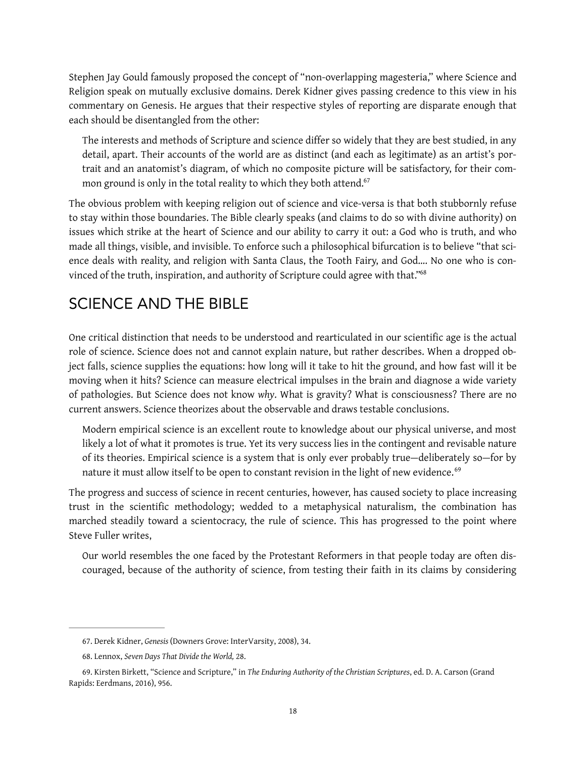Stephen Jay Gould famously proposed the concept of "non-overlapping magesteria," where Science and Religion speak on mutually exclusive domains. Derek Kidner gives passing credence to this view in his commentary on Genesis. He argues that their respective styles of reporting are disparate enough that each should be disentangled from the other:

<span id="page-17-3"></span>The interests and methods of Scripture and science difer so widely that they are best studied, in any detail, apart. Their accounts of the world are as distinct (and each as legitimate) as an artist's portrait and an anatomist's diagram, of which no composite picture will be satisfactory, for their common ground is only in the total reality to which they both attend.<sup>67</sup>

The obvious problem with keeping religion out of science and vice-versa is that both stubbornly refuse to stay within those boundaries. The Bible clearly speaks (and claims to do so with divine authority) on issues which strike at the heart of Science and our ability to carry it out: a God who is truth, and who made all things, visible, and invisible. To enforce such a philosophical bifurcation is to believe "that science deals with reality, and religion with Santa Claus, the Tooth Fairy, and God…. No one who is convinced of the truth, inspiration, and authority of Scripture could agree with that."<sup>68</sup>

# <span id="page-17-4"></span>SCIENCE AND THE BIBLE

One critical distinction that needs to be understood and rearticulated in our scientifc age is the actual role of science. Science does not and cannot explain nature, but rather describes. When a dropped object falls, science supplies the equations: how long will it take to hit the ground, and how fast will it be moving when it hits? Science can measure electrical impulses in the brain and diagnose a wide variety of pathologies. But Science does not know *why*. What is gravity? What is consciousness? There are no current answers. Science theorizes about the observable and draws testable conclusions.

<span id="page-17-5"></span>Modern empirical science is an excellent route to knowledge about our physical universe, and most likely a lot of what it promotes is true. Yet its very success lies in the contingent and revisable nature of its theories. Empirical science is a system that is only ever probably true—deliberately so—for by nature it must allow itself to be open to constant revision in the light of new evidence.<sup>[69](#page-17-2)</sup>

The progress and success of science in recent centuries, however, has caused society to place increasing trust in the scientific methodology; wedded to a metaphysical naturalism, the combination has marched steadily toward a scientocracy, the rule of science. This has progressed to the point where Steve Fuller writes,

Our world resembles the one faced by the Protestant Reformers in that people today are often discouraged, because of the authority of science, from testing their faith in its claims by considering

<span id="page-17-0"></span>[<sup>67.</sup>](#page-17-3) Derek Kidner, *Genesis* (Downers Grove: InterVarsity, 2008), 34.

<span id="page-17-1"></span>[<sup>68.</sup>](#page-17-4) Lennox, *Seven Days That Divide the World,* 28.

<span id="page-17-2"></span>[<sup>69.</sup>](#page-17-5) Kirsten Birkett, "Science and Scripture," in *The Enduring Authority of the Christian Scriptures*, ed. D. A. Carson (Grand Rapids: Eerdmans, 2016), 956.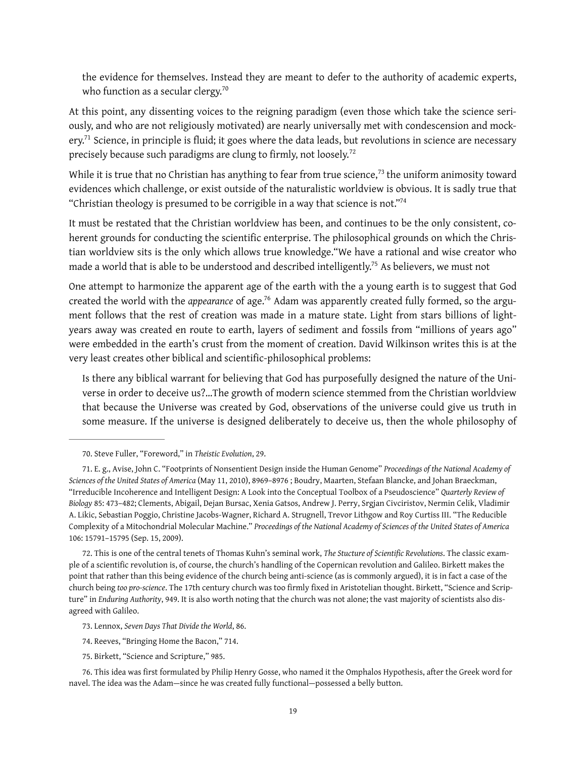<span id="page-18-9"></span><span id="page-18-7"></span>the evidence for themselves. Instead they are meant to defer to the authority of academic experts, who function as a secular clergy.<sup>[70](#page-18-0)</sup>

At this point, any dissenting voices to the reigning paradigm (even those which take the science seriously, and who are not religiously motivated) are nearly universally met with condescension and mock-ery.<sup>[71](#page-18-1)</sup> Science, in principle is fluid; it goes where the data leads, but revolutions in science are necessary precisely because such paradigms are clung to firmly, not loosely.<sup>[72](#page-18-2)</sup>

<span id="page-18-10"></span><span id="page-18-8"></span>Whileit is true that no Christian has anything to fear from true science,  $73$  the uniform animosity toward evidences which challenge, or exist outside of the naturalistic worldview is obvious. It is sadly true that "Christian theology is presumed to be corrigible in a way that science is not.["74](#page-18-4)

<span id="page-18-11"></span>It must be restated that the Christian worldview has been, and continues to be the only consistent, coherent grounds for conducting the scientific enterprise. The philosophical grounds on which the Christian worldview sits is the only which allows true knowledge."We have a rational and wise creator who made a world that is able to be understood and described intelligently[.](#page-18-5)<sup>[75](#page-18-5)</sup> As believers, we must not

<span id="page-18-12"></span>One attempt to harmonize the apparent age of the earth with the a young earth is to suggest that God created the world with the *appearance* of age[.](#page-18-6)<sup>76</sup> Adam was apparently created fully formed, so the argument follows that the rest of creation was made in a mature state. Light from stars billions of lightyears away was created en route to earth, layers of sediment and fossils from "millions of years ago" were embedded in the earth's crust from the moment of creation. David Wilkinson writes this is at the very least creates other biblical and scientifc-philosophical problems:

<span id="page-18-13"></span>Is there any biblical warrant for believing that God has purposefully designed the nature of the Universe in order to deceive us?…The growth of modern science stemmed from the Christian worldview that because the Universe was created by God, observations of the universe could give us truth in some measure. If the universe is designed deliberately to deceive us, then the whole philosophy of

<span id="page-18-2"></span>[72.](#page-18-9) This is one of the central tenets of Thomas Kuhn's seminal work, *The Stucture of Scientific Revolutions*. The classic example of a scientific revolution is, of course, the church's handling of the Copernican revolution and Galileo. Birkett makes the point that rather than this being evidence of the church being anti-science (as is commonly argued), it is in fact a case of the church being *too pro-science*. The 17th century church was too firmly fixed in Aristotelian thought. Birkett, "Science and Scripture" in *Enduring Authority*, 949. It is also worth noting that the church was not alone; the vast majority of scientists also disagreed with Galileo.

<span id="page-18-0"></span>[<sup>70.</sup>](#page-18-7) Steve Fuller, "Foreword," in *Theistic Evolution*, 29.

<span id="page-18-1"></span>[<sup>71.</sup>](#page-18-8) E. g., Avise, John C. "Footprints of Nonsentient Design inside the Human Genome" *Proceedings of the National Academy of Sciences of the United States of America* (May 11, 2010), 8969–8976 ; Boudry, Maarten, Stefaan Blancke, and Johan Braeckman, "Irreducible Incoherence and Intelligent Design: A Look into the Conceptual Toolbox of a Pseudoscience" *Quarterly Review of Biology* 85: 473–482; Clements, Abigail, Dejan Bursac, Xenia Gatsos, Andrew J. Perry, Srgjan Civciristov, Nermin Celik, Vladimir A. Likic, Sebastian Poggio, Christine Jacobs-Wagner, Richard A. Strugnell, Trevor Lithgow and Roy Curtiss III. "The Reducible Complexity of a Mitochondrial Molecular Machine." *Proceedings of the National Academy of Sciences of the United States of America* 106: 15791–15795 (Sep. 15, 2009).

<span id="page-18-3"></span>[<sup>73.</sup>](#page-18-10) Lennox, *Seven Days That Divide the World*, 86.

<span id="page-18-4"></span>[<sup>74.</sup>](#page-18-11) Reeves, "Bringing Home the Bacon," 714.

<span id="page-18-5"></span>[<sup>75.</sup>](#page-18-12) Birkett, "Science and Scripture," 985.

<span id="page-18-6"></span>[<sup>76.</sup>](#page-18-13) This idea was first formulated by Philip Henry Gosse, who named it the Omphalos Hypothesis, after the Greek word for navel. The idea was the Adam—since he was created fully functional—possessed a belly button.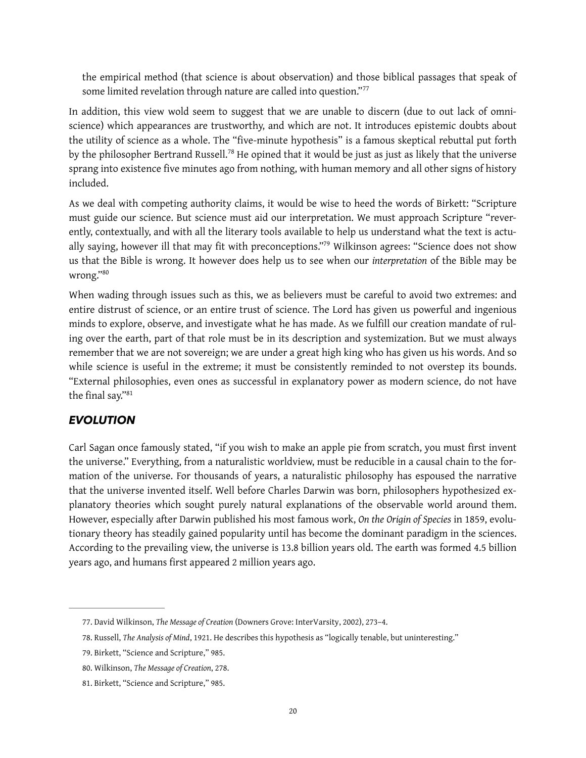<span id="page-19-5"></span>the empirical method (that science is about observation) and those biblical passages that speak of some limited revelation through nature are called into question."<sup>[77](#page-19-0)</sup>

In addition, this view wold seem to suggest that we are unable to discern (due to out lack of omniscience) which appearances are trustworthy, and which are not. It introduces epistemic doubts about the utility of science as a whole. The "five-minute hypothesis" is a famous skeptical rebuttal put forth bythe philosopher Bertrand Russell.<sup>[78](#page-19-1)</sup> He opined that it would be just as just as likely that the universe sprang into existence five minutes ago from nothing, with human memory and all other signs of history included.

<span id="page-19-6"></span>As we deal with competing authority claims, it would be wise to heed the words of Birkett: "Scripture must guide our science. But science must aid our interpretation. We must approach Scripture "reverently, contextually, and with all the literary tools available to help us understand what the text is actu-ally saying, however ill that may fit with preconceptions.["](#page-19-2)<sup>[79](#page-19-2)</sup> Wilkinson agrees: "Science does not show us that the Bible is wrong. It however does help us to see when our *interpretation* of the Bible may be wrong.["80](#page-19-3)

<span id="page-19-8"></span><span id="page-19-7"></span>When wading through issues such as this, we as believers must be careful to avoid two extremes: and entire distrust of science, or an entire trust of science. The Lord has given us powerful and ingenious minds to explore, observe, and investigate what he has made. As we fulfill our creation mandate of ruling over the earth, part of that role must be in its description and systemization. But we must always remember that we are not sovereign; we are under a great high king who has given us his words. And so while science is useful in the extreme; it must be consistently reminded to not overstep its bounds. "External philosophies, even ones as successful in explanatory power as modern science, do not have the final say.["81](#page-19-4)

#### <span id="page-19-9"></span>*EVOLUTION*

Carl Sagan once famously stated, "if you wish to make an apple pie from scratch, you must first invent the universe." Everything, from a naturalistic worldview, must be reducible in a causal chain to the formation of the universe. For thousands of years, a naturalistic philosophy has espoused the narrative that the universe invented itself. Well before Charles Darwin was born, philosophers hypothesized explanatory theories which sought purely natural explanations of the observable world around them. However, especially after Darwin published his most famous work, *On the Origin of Species* in 1859, evolutionary theory has steadily gained popularity until has become the dominant paradigm in the sciences. According to the prevailing view, the universe is 13.8 billion years old. The earth was formed 4.5 billion years ago, and humans first appeared 2 million years ago.

<span id="page-19-0"></span>[<sup>77.</sup>](#page-19-5) David Wilkinson, *The Message of Creation* (Downers Grove: InterVarsity, 2002), 273–4.

<span id="page-19-1"></span>[<sup>78.</sup>](#page-19-6) Russell, *The Analysis of Mind*, 1921. He describes this hypothesis as "logically tenable, but uninteresting."

<span id="page-19-2"></span>[<sup>79.</sup>](#page-19-7) Birkett, "Science and Scripture," 985.

<span id="page-19-3"></span>[<sup>80.</sup>](#page-19-8) Wilkinson, *The Message of Creation*, 278.

<span id="page-19-4"></span>[<sup>81.</sup>](#page-19-9) Birkett, "Science and Scripture," 985.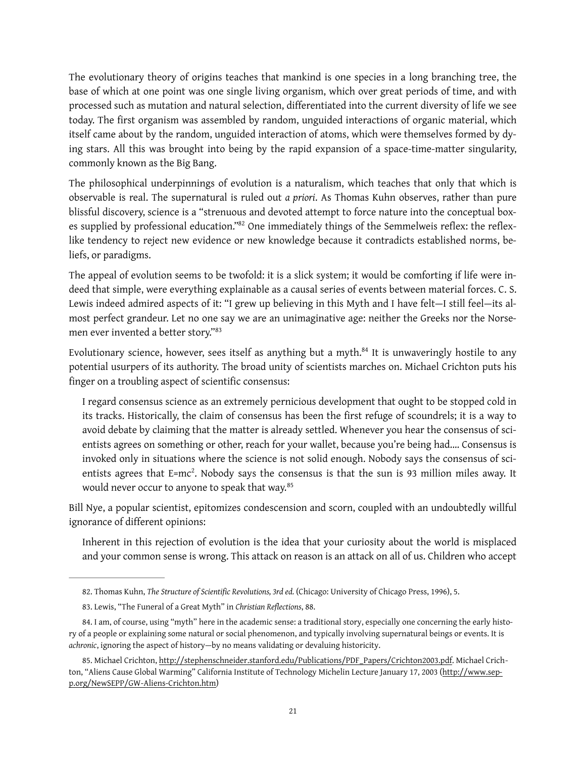The evolutionary theory of origins teaches that mankind is one species in a long branching tree, the base of which at one point was one single living organism, which over great periods of time, and with processed such as mutation and natural selection, diferentiated into the current diversity of life we see today. The frst organism was assembled by random, unguided interactions of organic material, which itself came about by the random, unguided interaction of atoms, which were themselves formed by dying stars. All this was brought into being by the rapid expansion of a space-time-matter singularity, commonly known as the Big Bang.

The philosophical underpinnings of evolution is a naturalism, which teaches that only that which is observable is real. The supernatural is ruled out *a priori*. As Thomas Kuhn observes, rather than pure blissful discovery, science is a "strenuous and devoted attempt to force nature into the conceptual box-es supplied by professional education.["](#page-20-0)<sup>82</sup> One immediately things of the Semmelweis reflex: the reflexlike tendency to reject new evidence or new knowledge because it contradicts established norms, beliefs, or paradigms.

<span id="page-20-4"></span>The appeal of evolution seems to be twofold: it is a slick system; it would be comforting if life were indeed that simple, were everything explainable as a causal series of events between material forces. C. S. Lewis indeed admired aspects of it: "I grew up believing in this Myth and I have felt—I still feel—its almost perfect grandeur. Let no one say we are an unimaginative age: neither the Greeks nor the Norsemen ever invented a better story."[83](#page-20-1)

Evolutionary science, however, sees itself as anything but a myth. $^{84}$  $^{84}$  $^{84}$  It is unwaveringly hostile to any potential usurpers of its authority. The broad unity of scientists marches on. Michael Crichton puts his finger on a troubling aspect of scientific consensus:

<span id="page-20-6"></span><span id="page-20-5"></span>I regard consensus science as an extremely pernicious development that ought to be stopped cold in its tracks. Historically, the claim of consensus has been the frst refuge of scoundrels; it is a way to avoid debate by claiming that the matter is already settled. Whenever you hear the consensus of scientists agrees on something or other, reach for your wallet, because you're being had.… Consensus is invoked only in situations where the science is not solid enough. Nobody says the consensus of scientists agrees that E=mc<sup>2</sup>. Nobody says the consensus is that the sun is 93 million miles away. It would never occur to anyone to speak that way.<sup>[85](#page-20-3)</sup>

Bill Nye, a popular scientist, epitomizes condescension and scorn, coupled with an undoubtedly willful ignorance of diferent opinions:

<span id="page-20-7"></span>Inherent in this rejection of evolution is the idea that your curiosity about the world is misplaced and your common sense is wrong. This attack on reason is an attack on all of us. Children who accept

<span id="page-20-0"></span>[<sup>82.</sup>](#page-20-4) Thomas Kuhn, *The Structure of Scientific Revolutions, 3rd ed.* (Chicago: University of Chicago Press, 1996), 5.

<span id="page-20-1"></span>[<sup>83.</sup>](#page-20-5) Lewis, "The Funeral of a Great Myth" in *Christian Reflections*, 88.

<span id="page-20-2"></span>[<sup>84.</sup>](#page-20-6) I am, of course, using "myth" here in the academic sense: a traditional story, especially one concerning the early history of a people or explaining some natural or social phenomenon, and typically involving supernatural beings or events. It is *achronic*, ignoring the aspect of history—by no means validating or devaluing historicity.

<span id="page-20-3"></span>[<sup>85.</sup>](#page-20-7) Michael Crichton, [http://stephenschneider.stanford.edu/Publications/PDF\\_Papers/Crichton2003.pdf.](http://stephenschneider.stanford.edu/Publications/PDF_Papers/Crichton2003.pdf) Michael Crich[ton, "Aliens Cause Global Warming" California Institute of Technology Michelin Lecture January 17, 2003 \(http://www.sep](http://www.sepp.org/NewSEPP/GW-Aliens-Crichton.htm)p.org/NewSEPP/GW-Aliens-Crichton.htm)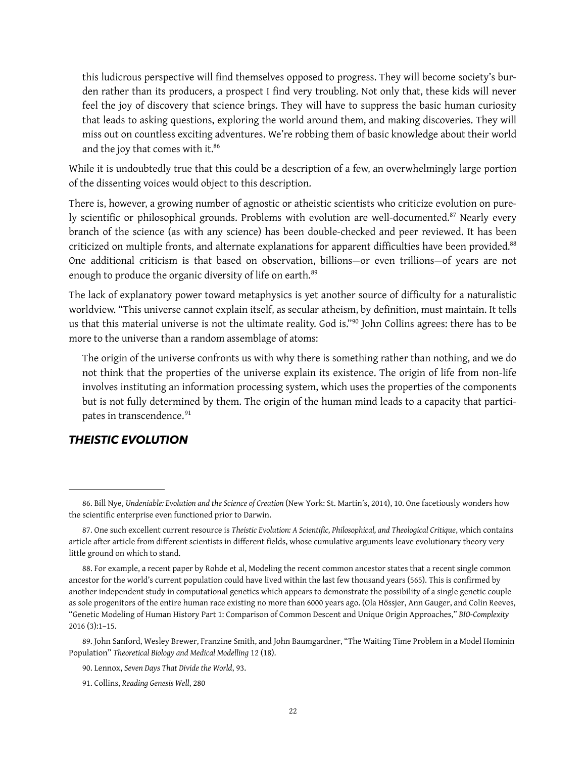this ludicrous perspective will fnd themselves opposed to progress. They will become society's burden rather than its producers, a prospect I find very troubling. Not only that, these kids will never feel the joy of discovery that science brings. They will have to suppress the basic human curiosity that leads to asking questions, exploring the world around them, and making discoveries. They will miss out on countless exciting adventures. We're robbing them of basic knowledge about their world and the joy that comes with it.<sup>86</sup>

<span id="page-21-6"></span>While it is undoubtedly true that this could be a description of a few, an overwhelmingly large portion of the dissenting voices would object to this description.

<span id="page-21-7"></span>There is, however, a growing number of agnostic or atheistic scientists who criticize evolution on pure-lyscientific or philosophical grounds. Problems with evolution are well-documented.<sup>[87](#page-21-1)</sup> Nearly every branch of the science (as with any science) has been double-checked and peer reviewed. It has been criticized on multiple fronts, and alternate explanations for apparent difficulties have been provided.<sup>88</sup> One additional criticism is that based on observation, billions—or even trillions—of years are not enough to produce the organic diversity of life on earth.<sup>[89](#page-21-3)</sup>

The lack of explanatory power toward metaphysics is yet another source of difficulty for a naturalistic worldview. "This universe cannot explain itself, as secular atheism, by defnition, must maintain. It tells usthat this material universe is not the ultimate reality. God is."<sup>[90](#page-21-4)</sup> John Collins agrees: there has to be more to the universe than a random assemblage of atoms:

<span id="page-21-10"></span><span id="page-21-9"></span><span id="page-21-8"></span>The origin of the universe confronts us with why there is something rather than nothing, and we do not think that the properties of the universe explain its existence. The origin of life from non-life involves instituting an information processing system, which uses the properties of the components but is not fully determined by them. The origin of the human mind leads to a capacity that partici-pates in transcendence.<sup>[91](#page-21-5)</sup>

#### <span id="page-21-11"></span>*THEISTIC EVOLUTION*

<span id="page-21-3"></span>[89.](#page-21-9) John Sanford, Wesley Brewer, Franzine Smith, and John Baumgardner, "The Waiting Time Problem in a Model Hominin Population" *Theoretical Biology and Medical Modelling* 12 (18).

<span id="page-21-0"></span>[<sup>86.</sup>](#page-21-6) Bill Nye, *Undeniable: Evolution and the Science of Creation* (New York: St. Martin's, 2014), 10. One facetiously wonders how the scientific enterprise even functioned prior to Darwin.

<span id="page-21-1"></span>[<sup>87.</sup>](#page-21-7) One such excellent current resource is *Theistic Evolution: A Scientific, Philosophical, and Theological Critique*, which contains article after article from different scientists in different fields, whose cumulative arguments leave evolutionary theory very little ground on which to stand.

<span id="page-21-2"></span>[<sup>88.</sup>](#page-21-8) For example, a recent paper by Rohde et al, Modeling the recent common ancestor states that a recent single common ancestor for the world's current population could have lived within the last few thousand years (565). This is confirmed by another independent study in computational genetics which appears to demonstrate the possibility of a single genetic couple as sole progenitors of the entire human race existing no more than 6000 years ago. (Ola Hössjer, Ann Gauger, and Colin Reeves, "Genetic Modeling of Human History Part 1: Comparison of Common Descent and Unique Origin Approaches," *BIO-Complexity* 2016 (3):1–15.

<span id="page-21-4"></span>[<sup>90.</sup>](#page-21-10) Lennox, *Seven Days That Divide the World*, 93.

<span id="page-21-5"></span>[<sup>91.</sup>](#page-21-11) Collins, *Reading Genesis Well*, 280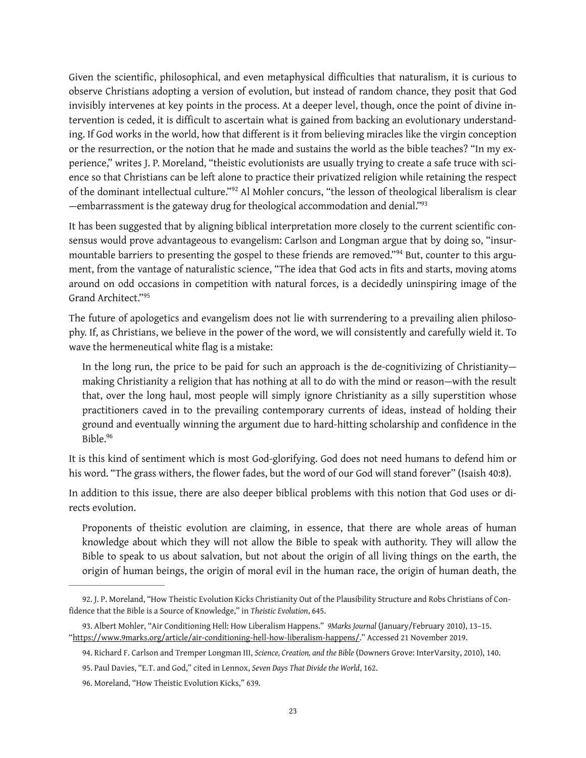Given the scientific, philosophical, and even metaphysical difficulties that naturalism, it is curious to observe Christians adopting a version of evolution, but instead of random chance, they posit that God invisibly intervenes at key points in the process. At a deeper level, though, once the point of divine intervention is ceded, it is difficult to ascertain what is gained from backing an evolutionary understanding. If God works in the world, how that diferent is it from believing miracles like the virgin conception or the resurrection, or the notion that he made and sustains the world as the bible teaches? "In my experience," writes J. P. Moreland, "theistic evolutionists are usually trying to create a safe truce with science so that Christians can be left alone to practice their privatized religion while retaining the respect ofthe dominant intellectual culture."<sup>92</sup> Al Mohler concurs, "the lesson of theological liberalism is clear —embarrassment is the gateway drug for theological accommodation and denial.["93](#page-22-1)

<span id="page-22-7"></span><span id="page-22-6"></span><span id="page-22-5"></span>It has been suggested that by aligning biblical interpretation more closely to the current scientific consensus would prove advantageous to evangelism: Carlson and Longman argue that by doing so, "insurmountablebarriers to presenting the gospel to these friends are removed."<sup>94</sup> But, counter to this argument, from the vantage of naturalistic science, "The idea that God acts in fts and starts, moving atoms around on odd occasions in competition with natural forces, is a decidedly uninspiring image of the Grand Architect."[95](#page-22-3)

<span id="page-22-8"></span>The future of apologetics and evangelism does not lie with surrendering to a prevailing alien philosophy. If, as Christians, we believe in the power of the word, we will consistently and carefully wield it. To wave the hermeneutical white flag is a mistake:

In the long run, the price to be paid for such an approach is the de-cognitivizing of Christianity making Christianity a religion that has nothing at all to do with the mind or reason—with the result that, over the long haul, most people will simply ignore Christianity as a silly superstition whose practitioners caved in to the prevailing contemporary currents of ideas, instead of holding their ground and eventually winning the argument due to hard-hitting scholarship and confdence in the Bible[.96](#page-22-4)

<span id="page-22-9"></span>It is this kind of sentiment which is most God-glorifying. God does not need humans to defend him or his word. "The grass withers, the flower fades, but the word of our God will stand forever" (Isaish 40:8).

In addition to this issue, there are also deeper biblical problems with this notion that God uses or directs evolution.

Proponents of theistic evolution are claiming, in essence, that there are whole areas of human knowledge about which they will not allow the Bible to speak with authority. They will allow the Bible to speak to us about salvation, but not about the origin of all living things on the earth, the origin of human beings, the origin of moral evil in the human race, the origin of human death, the

<span id="page-22-0"></span>[<sup>92.</sup>](#page-22-5) J. P. Moreland, "How Theistic Evolution Kicks Christianity Out of the Plausibility Structure and Robs Christians of Confidence that the Bible is a Source of Knowledge," in *Theistic Evolution*, 645.

<span id="page-22-1"></span>[<sup>93.</sup>](#page-22-6) Albert Mohler, "Air Conditioning Hell: How Liberalism Happens." *9Marks Journal* (January/February 2010), 13–15. "[https://www.9marks.org/article/air-conditioning-hell-how-liberalism-happens/.](https://www.9marks.org/article/air-conditioning-hell-how-liberalism-happens/)" Accessed 21 November 2019.

<span id="page-22-2"></span>[<sup>94.</sup>](#page-22-7) Richard F. Carlson and Tremper Longman III, *Science, Creation, and the Bible* (Downers Grove: InterVarsity, 2010), 140.

<span id="page-22-3"></span>[<sup>95.</sup>](#page-22-8) Paul Davies, "E.T. and God," cited in Lennox, *Seven Days That Divide the World*, 162.

<span id="page-22-4"></span>[<sup>96.</sup>](#page-22-9) Moreland, "How Theistic Evolution Kicks," 639.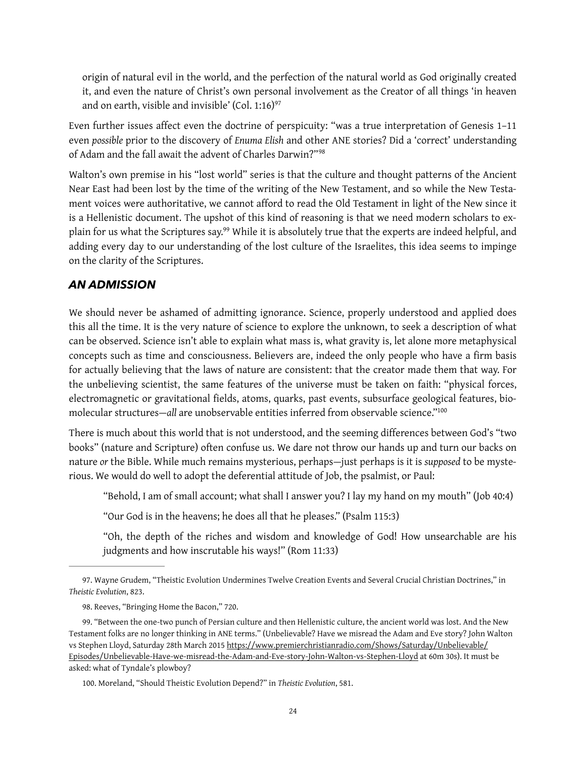<span id="page-23-4"></span>origin of natural evil in the world, and the perfection of the natural world as God originally created it, and even the nature of Christ's own personal involvement as the Creator of all things 'in heaven and on earth, visible and invisible' (Col. 1:16) $97$ 

Even further issues afect even the doctrine of perspicuity: "was a true interpretation of Genesis 1–11 even *possible* prior to the discovery of *Enuma Elish* and other ANE stories? Did a 'correct' understanding of Adam and the fall await the advent of Charles Darwin?"[98](#page-23-1)

<span id="page-23-5"></span>Walton's own premise in his "lost world" series is that the culture and thought patterns of the Ancient Near East had been lost by the time of the writing of the New Testament, and so while the New Testament voices were authoritative, we cannot afford to read the Old Testament in light of the New since it is a Hellenistic document. The upshot of this kind of reasoning is that we need modern scholars to ex-plain for us what the Scriptures say[.](#page-23-2)<sup>[99](#page-23-2)</sup> While it is absolutely true that the experts are indeed helpful, and adding every day to our understanding of the lost culture of the Israelites, this idea seems to impinge on the clarity of the Scriptures.

### <span id="page-23-6"></span>*AN ADMISSION*

We should never be ashamed of admitting ignorance. Science, properly understood and applied does this all the time. It is the very nature of science to explore the unknown, to seek a description of what can be observed. Science isn't able to explain what mass is, what gravity is, let alone more metaphysical concepts such as time and consciousness. Believers are, indeed the only people who have a frm basis for actually believing that the laws of nature are consistent: that the creator made them that way. For the unbelieving scientist, the same features of the universe must be taken on faith: "physical forces, electromagnetic or gravitational fields, atoms, quarks, past events, subsurface geological features, biomolecular structures—*all* are unobservable entities inferred from observable science.["100](#page-23-3)

There is much about this world that is not understood, and the seeming diferences between God's "two books" (nature and Scripture) often confuse us. We dare not throw our hands up and turn our backs on nature *or* the Bible. While much remains mysterious, perhaps—just perhaps is it is *supposed* to be mysterious. We would do well to adopt the deferential attitude of Job, the psalmist, or Paul:

<span id="page-23-7"></span>"Behold, I am of small account; what shall I answer you? I lay my hand on my mouth" (Job 40:4)

"Our God is in the heavens; he does all that he pleases." (Psalm 115:3)

"Oh, the depth of the riches and wisdom and knowledge of God! How unsearchable are his judgments and how inscrutable his ways!" (Rom 11:33)

<span id="page-23-0"></span>[<sup>97.</sup>](#page-23-4) Wayne Grudem, "Theistic Evolution Undermines Twelve Creation Events and Several Crucial Christian Doctrines," in *Theistic Evolution*, 823.

<span id="page-23-1"></span>[<sup>98.</sup>](#page-23-5) Reeves, "Bringing Home the Bacon," 720.

<span id="page-23-2"></span>[<sup>99.</sup>](#page-23-6) "Between the one-two punch of Persian culture and then Hellenistic culture, the ancient world was lost. And the New Testament folks are no longer thinking in ANE terms." (Unbelievable? Have we misread the Adam and Eve story? John Walton vs Stephen Lloyd, Saturday 28th March 2015 https://www.premierchristianradio.com/Shows/Saturday/Unbelievable/ [Episodes/Unbelievable-Have-we-misread-the-Adam-and-Eve-story-John-Walton-vs-Stephen-Lloyd at 60m 30s\). It must](https://www.premierchristianradio.com/Shows/Saturday/Unbelievable/Episodes/Unbelievable-Have-we-misread-the-Adam-and-Eve-story-John-Walton-vs-Stephen-Lloyd) be asked: what of Tyndale's plowboy?

<span id="page-23-3"></span>[<sup>100.</sup>](#page-23-7) Moreland, "Should Theistic Evolution Depend?" in *Theistic Evolution*, 581.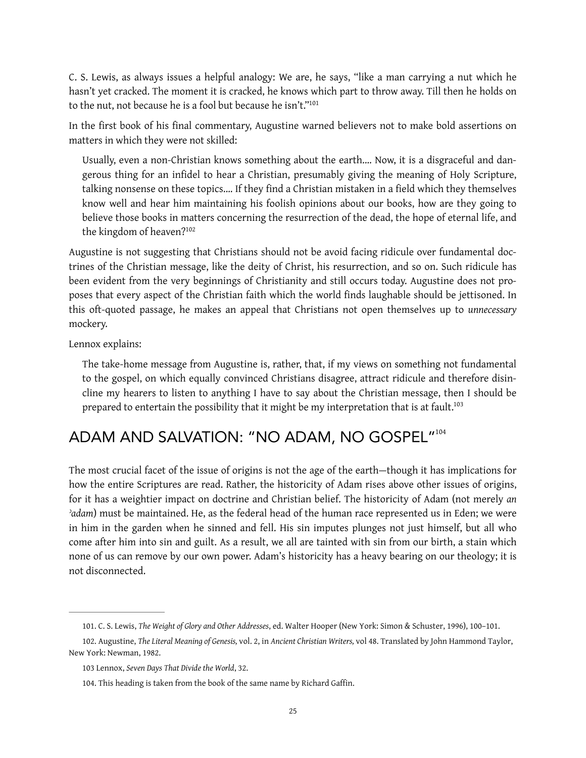C. S. Lewis, as always issues a helpful analogy: We are, he says, "like a man carrying a nut which he hasn't yet cracked. The moment it is cracked, he knows which part to throw away. Till then he holds on to the nut, not because he is a fool but because he isn't.["101](#page-24-0)

In the first book of his final commentary, Augustine warned believers not to make bold assertions on matters in which they were not skilled:

<span id="page-24-4"></span>Usually, even a non-Christian knows something about the earth.… Now, it is a disgraceful and dangerous thing for an infdel to hear a Christian, presumably giving the meaning of Holy Scripture, talking nonsense on these topics.... If they find a Christian mistaken in a field which they themselves know well and hear him maintaining his foolish opinions about our books, how are they going to believe those books in matters concerning the resurrection of the dead, the hope of eternal life, and the kingdom of heaven[?102](#page-24-1)

<span id="page-24-5"></span>Augustine is not suggesting that Christians should not be avoid facing ridicule over fundamental doctrines of the Christian message, like the deity of Christ, his resurrection, and so on. Such ridicule has been evident from the very beginnings of Christianity and still occurs today. Augustine does not proposes that every aspect of the Christian faith which the world finds laughable should be jettisoned. In this oft-quoted passage, he makes an appeal that Christians not open themselves up to *unnecessary* mockery.

Lennox explains:

<span id="page-24-7"></span><span id="page-24-6"></span>The take-home message from Augustine is, rather, that, if my views on something not fundamental to the gospel, on which equally convinced Christians disagree, attract ridicule and therefore disincline my hearers to listen to anything I have to say about the Christian message, then I should be prepared to entertain the possibility that it might be my interpretation that is at fault.<sup>103</sup>

# ADAM AND SALVATION: "NO ADAM, NO GOSPEL"[104](#page-24-3)

The most crucial facet of the issue of origins is not the age of the earth—though it has implications for how the entire Scriptures are read. Rather, the historicity of Adam rises above other issues of origins, for it has a weightier impact on doctrine and Christian belief. The historicity of Adam (not merely *an ʾadam*) must be maintained. He, as the federal head of the human race represented us in Eden; we were in him in the garden when he sinned and fell. His sin imputes plunges not just himself, but all who come after him into sin and guilt. As a result, we all are tainted with sin from our birth, a stain which none of us can remove by our own power. Adam's historicity has a heavy bearing on our theology; it is not disconnected.

<span id="page-24-1"></span><span id="page-24-0"></span>[<sup>101.</sup>](#page-24-4) C. S. Lewis, *The Weight of Glory and Other Addresses*, ed. Walter Hooper (New York: Simon & Schuster, 1996), 100–101.

[<sup>102.</sup>](#page-24-5) Augustine, *The Literal Meaning of Genesis,* vol. 2, in *Ancient Christian Writers,* vol 48. Translated by John Hammond Taylor, New York: Newman, 1982.

<span id="page-24-2"></span>[<sup>103</sup>](#page-24-6) Lennox, *Seven Days That Divide the World*, 32.

<span id="page-24-3"></span>[<sup>104.</sup>](#page-24-7) This heading is taken from the book of the same name by Richard Gaffin.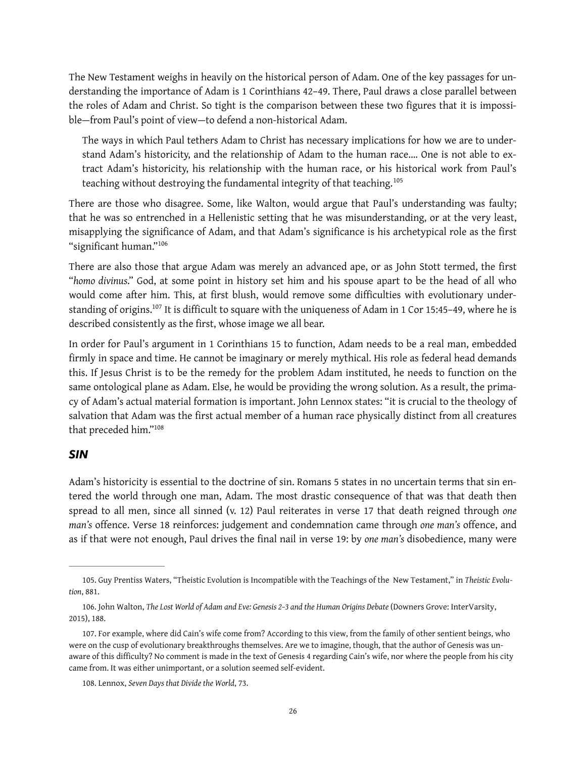The New Testament weighs in heavily on the historical person of Adam. One of the key passages for understanding the importance of Adam is 1 Corinthians 42–49. There, Paul draws a close parallel between the roles of Adam and Christ. So tight is the comparison between these two figures that it is impossible—from Paul's point of view—to defend a non-historical Adam.

<span id="page-25-4"></span>The ways in which Paul tethers Adam to Christ has necessary implications for how we are to understand Adam's historicity, and the relationship of Adam to the human race.… One is not able to extract Adam's historicity, his relationship with the human race, or his historical work from Paul's teaching without destroying the fundamental integrity of that teaching.[105](#page-25-0)

There are those who disagree. Some, like Walton, would argue that Paul's understanding was faulty; that he was so entrenched in a Hellenistic setting that he was misunderstanding, or at the very least, misapplying the significance of Adam, and that Adam's significance is his archetypical role as the first "significant human."<sup>[106](#page-25-1)</sup>

<span id="page-25-5"></span>There are also those that argue Adam was merely an advanced ape, or as John Stott termed, the frst "*homo divinus*." God, at some point in history set him and his spouse apart to be the head of all who would come after him. This, at first blush, would remove some difficulties with evolutionary under-standing of origins.<sup>[107](#page-25-2)</sup> It is difficult to square with the uniqueness of Adam in 1 Cor 15:45-49, where he is described consistently as the first, whose image we all bear.

<span id="page-25-6"></span>In order for Paul's argument in 1 Corinthians 15 to function, Adam needs to be a real man, embedded firmly in space and time. He cannot be imaginary or merely mythical. His role as federal head demands this. If Jesus Christ is to be the remedy for the problem Adam instituted, he needs to function on the same ontological plane as Adam. Else, he would be providing the wrong solution. As a result, the primacy of Adam's actual material formation is important. John Lennox states: "it is crucial to the theology of salvation that Adam was the frst actual member of a human race physically distinct from all creatures that preceded him.["108](#page-25-3)

#### <span id="page-25-7"></span>*SIN*

Adam's historicity is essential to the doctrine of sin. Romans 5 states in no uncertain terms that sin entered the world through one man, Adam. The most drastic consequence of that was that death then spread to all men, since all sinned (v. 12) Paul reiterates in verse 17 that death reigned through *one man's* ofence. Verse 18 reinforces: judgement and condemnation came through *one man's* ofence, and as if that were not enough, Paul drives the fnal nail in verse 19: by *one man's* disobedience, many were

<span id="page-25-0"></span>[<sup>105.</sup>](#page-25-4) Guy Prentiss Waters, "Theistic Evolution is Incompatible with the Teachings of the New Testament," in *Theistic Evolution*, 881.

<span id="page-25-1"></span>[<sup>106.</sup>](#page-25-5) John Walton, *The Lost World of Adam and Eve: Genesis 2–3 and the Human Origins Debate* (Downers Grove: InterVarsity, 2015), 188.

<span id="page-25-2"></span>[<sup>107.</sup>](#page-25-6) For example, where did Cain's wife come from? According to this view, from the family of other sentient beings, who were on the cusp of evolutionary breakthroughs themselves. Are we to imagine, though, that the author of Genesis was unaware of this difficulty? No comment is made in the text of Genesis 4 regarding Cain's wife, nor where the people from his city came from. It was either unimportant, or a solution seemed self-evident.

<span id="page-25-3"></span>[<sup>108.</sup>](#page-25-7) Lennox, *Seven Days that Divide the World*, 73.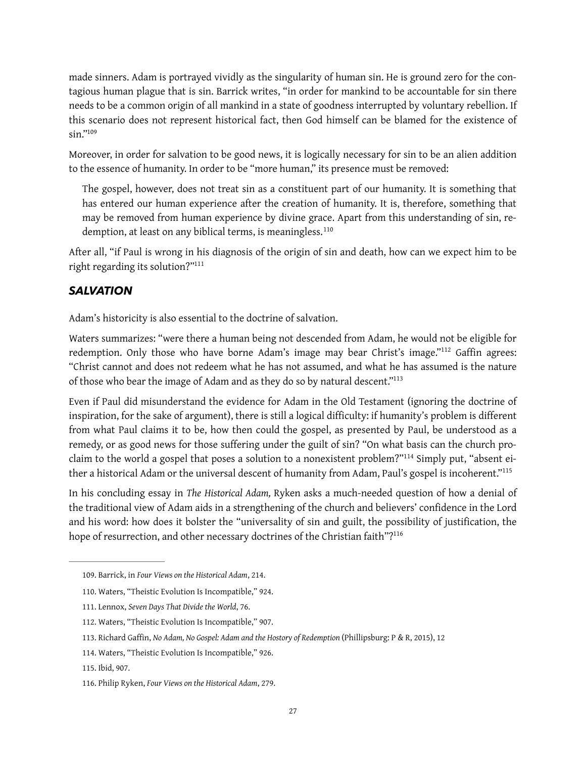made sinners. Adam is portrayed vividly as the singularity of human sin. He is ground zero for the contagious human plague that is sin. Barrick writes, "in order for mankind to be accountable for sin there needs to be a common origin of all mankind in a state of goodness interrupted by voluntary rebellion. If this scenario does not represent historical fact, then God himself can be blamed for the existence of sin.["109](#page-26-0)

<span id="page-26-8"></span>Moreover, in order for salvation to be good news, it is logically necessary for sin to be an alien addition to the essence of humanity. In order to be "more human," its presence must be removed:

<span id="page-26-9"></span>The gospel, however, does not treat sin as a constituent part of our humanity. It is something that has entered our human experience after the creation of humanity. It is, therefore, something that may be removed from human experience by divine grace. Apart from this understanding of sin, re-demption, at least on any biblical terms, is meaningless.<sup>[110](#page-26-1)</sup>

After all, "if Paul is wrong in his diagnosis of the origin of sin and death, how can we expect him to be right regarding its solution?["111](#page-26-2)

### <span id="page-26-10"></span>*SALVATION*

Adam's historicity is also essential to the doctrine of salvation.

<span id="page-26-11"></span>Waters summarizes: "were there a human being not descended from Adam, he would not be eligible for redemption. Only those who have borne Adam's image may bear Christ's image."<sup>[112](#page-26-3)</sup> Gaffin agrees: "Christ cannot and does not redeem what he has not assumed, and what he has assumed is the nature of those who bear the image of Adam and as they do so by natural descent.["113](#page-26-4)

<span id="page-26-12"></span>Even if Paul did misunderstand the evidence for Adam in the Old Testament (ignoring the doctrine of inspiration, for the sake of argument), there is still a logical difficulty: if humanity's problem is different from what Paul claims it to be, how then could the gospel, as presented by Paul, be understood as a remedy, or as good news for those suffering under the guilt of sin? "On what basis can the church proclaim to the world a gospel that poses a solution to a nonexistent problem?"<sup>114</sup> Simply put, "absent either a historical Adam or the universal descent of humanity from Adam, Paul's gospel is incoherent."<sup>115</sup>

<span id="page-26-13"></span>In his concluding essay in *The Historical Adam,* Ryken asks a much-needed question of how a denial of the traditional view of Adam aids in a strengthening of the church and believers' confidence in the Lord and his word: how does it bolster the "universality of sin and guilt, the possibility of justifcation, the hope of resurrection, and other necessary doctrines of the Christian faith"?<sup>116</sup>

<span id="page-26-15"></span><span id="page-26-14"></span><span id="page-26-0"></span>[<sup>109.</sup>](#page-26-8) Barrick, in *Four Views on the Historical Adam*, 214.

<span id="page-26-1"></span>[<sup>110.</sup>](#page-26-9) Waters, "Theistic Evolution Is Incompatible," 924.

<span id="page-26-2"></span>[<sup>111.</sup>](#page-26-10) Lennox, *Seven Days That Divide the World*, 76.

<span id="page-26-3"></span>[<sup>112.</sup>](#page-26-11) Waters, "Theistic Evolution Is Incompatible," 907.

<span id="page-26-4"></span>[<sup>113.</sup>](#page-26-12) Richard Gaffin, *No Adam, No Gospel: Adam and the Hostory of Redemption* (Phillipsburg: P & R, 2015), 12

<span id="page-26-5"></span>[<sup>114.</sup>](#page-26-13) Waters, "Theistic Evolution Is Incompatible," 926.

<span id="page-26-6"></span>[<sup>115.</sup>](#page-26-14) Ibid, 907.

<span id="page-26-7"></span>[<sup>116.</sup>](#page-26-15) Philip Ryken, *Four Views on the Historical Adam*, 279.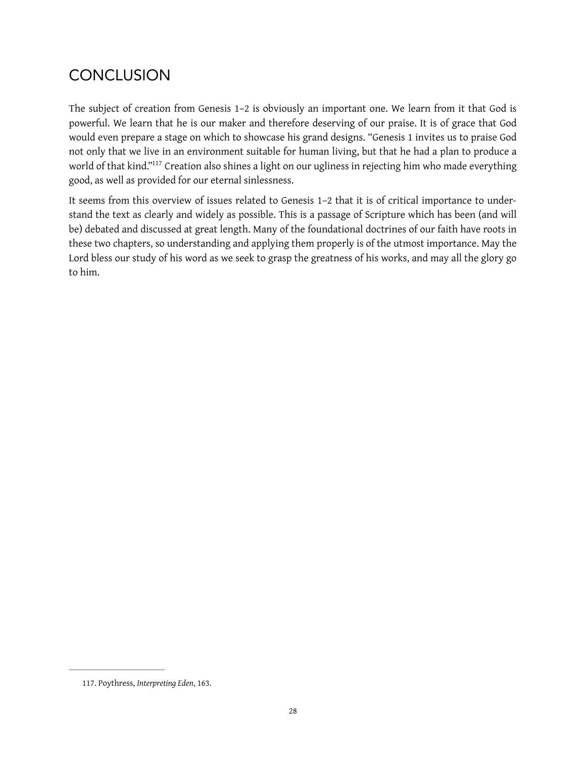# **CONCLUSION**

The subject of creation from Genesis 1–2 is obviously an important one. We learn from it that God is powerful. We learn that he is our maker and therefore deserving of our praise. It is of grace that God would even prepare a stage on which to showcase his grand designs. "Genesis 1 invites us to praise God not only that we live in an environment suitable for human living, but that he had a plan to produce a world of that kind."<sup>[117](#page-27-0)</sup> Creation also shines a light on our ugliness in rejecting him who made everything good, as well as provided for our eternal sinlessness.

<span id="page-27-1"></span>It seems from this overview of issues related to Genesis 1–2 that it is of critical importance to understand the text as clearly and widely as possible. This is a passage of Scripture which has been (and will be) debated and discussed at great length. Many of the foundational doctrines of our faith have roots in these two chapters, so understanding and applying them properly is of the utmost importance. May the Lord bless our study of his word as we seek to grasp the greatness of his works, and may all the glory go to him.

<span id="page-27-0"></span>[<sup>117.</sup>](#page-27-1) Poythress, *Interpreting Eden*, 163.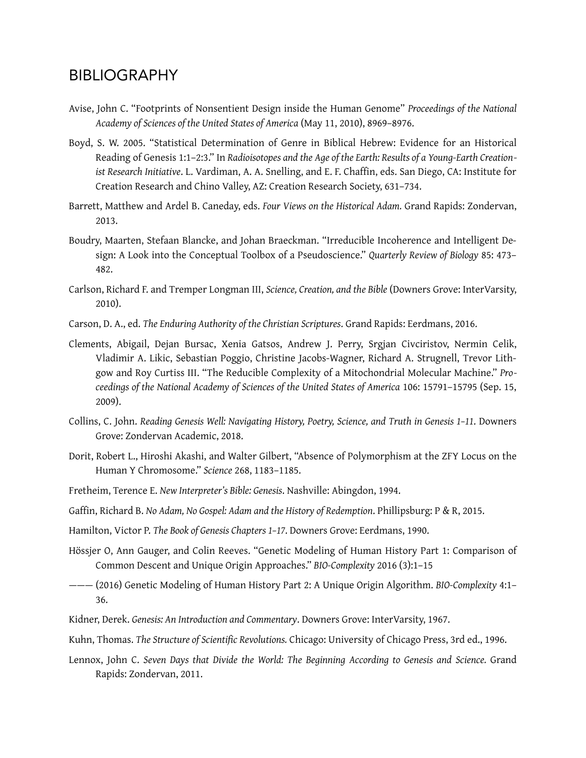# BIBLIOGRAPHY

- Avise, John C. "Footprints of Nonsentient Design inside the Human Genome" *Proceedings of the National Academy of Sciences of the United States of America* (May 11, 2010), 8969–8976.
- Boyd, S. W. 2005. "Statistical Determination of Genre in Biblical Hebrew: Evidence for an Historical Reading of Genesis 1:1–2:3." In *Radioisotopes and the Age of the Earth: Results of a Young-Earth Creation*ist Research Initiative. L. Vardiman, A. A. Snelling, and E. F. Chaffin, eds. San Diego, CA: Institute for Creation Research and Chino Valley, AZ: Creation Research Society, 631–734.
- Barrett, Matthew and Ardel B. Caneday, eds. *Four Views on the Historical Adam.* Grand Rapids: Zondervan, 2013.
- Boudry, Maarten, Stefaan Blancke, and Johan Braeckman. "Irreducible Incoherence and Intelligent Design: A Look into the Conceptual Toolbox of a Pseudoscience." *Quarterly Review of Biology* 85: 473– 482.
- Carlson, Richard F. and Tremper Longman III, *Science, Creation, and the Bible* (Downers Grove: InterVarsity, 2010).
- Carson, D. A., ed. *The Enduring Authority of the Christian Scriptures*. Grand Rapids: Eerdmans, 2016.
- Clements, Abigail, Dejan Bursac, Xenia Gatsos, Andrew J. Perry, Srgjan Civciristov, Nermin Celik, Vladimir A. Likic, Sebastian Poggio, Christine Jacobs-Wagner, Richard A. Strugnell, Trevor Lithgow and Roy Curtiss III. "The Reducible Complexity of a Mitochondrial Molecular Machine." *Proceedings of the National Academy of Sciences of the United States of America* 106: 15791–15795 (Sep. 15, 2009).
- Collins, C. John. *Reading Genesis Well: Navigating History, Poetry, Science, and Truth in Genesis 1–11*. Downers Grove: Zondervan Academic, 2018.
- Dorit, Robert L., Hiroshi Akashi, and Walter Gilbert, "Absence of Polymorphism at the ZFY Locus on the Human Y Chromosome." *Science* 268, 1183–1185.
- Fretheim, Terence E. *New Interpreter's Bible: Genesis*. Nashville: Abingdon, 1994.
- Gaffin, Richard B. *No Adam, No Gospel: Adam and the History of Redemption*. Phillipsburg: P & R, 2015.
- Hamilton, Victor P. *The Book of Genesis Chapters 1–17*. Downers Grove: Eerdmans, 1990.
- Hössjer O, Ann Gauger, and Colin Reeves. "Genetic Modeling of Human History Part 1: Comparison of Common Descent and Unique Origin Approaches." *BIO-Complexity* 2016 (3):1–15
- ——— (2016) Genetic Modeling of Human History Part 2: A Unique Origin Algorithm. *BIO-Complexity* 4:1– 36.
- Kidner, Derek. *Genesis: An Introduction and Commentary*. Downers Grove: InterVarsity, 1967.
- Kuhn, Thomas. *The Structure of Scientifc Revolutions.* Chicago: University of Chicago Press, 3rd ed., 1996.
- Lennox, John C. *Seven Days that Divide the World: The Beginning According to Genesis and Science.* Grand Rapids: Zondervan, 2011.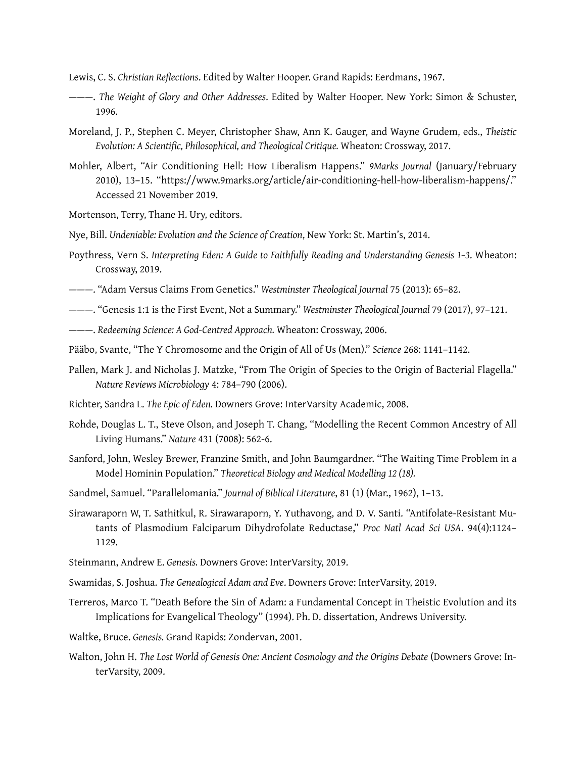- Lewis, C. S. *Christian Refections*. Edited by Walter Hooper. Grand Rapids: Eerdmans, 1967.
- ———. *The Weight of Glory and Other Addresses*. Edited by Walter Hooper. New York: Simon & Schuster, 1996.
- Moreland, J. P., Stephen C. Meyer, Christopher Shaw, Ann K. Gauger, and Wayne Grudem, eds., *Theistic Evolution: A Scientifc, Philosophical, and Theological Critique.* Wheaton: Crossway, 2017.
- Mohler, Albert, "Air Conditioning Hell: How Liberalism Happens." *9Marks Journal* (January/February 2010), 13–15. "https://www.9marks.org/article/air-conditioning-hell-how-liberalism-happens/." Accessed 21 November 2019.
- Mortenson, Terry, Thane H. Ury, editors.
- Nye, Bill. *Undeniable: Evolution and the Science of Creation*, New York: St. Martin's, 2014.
- Poythress, Vern S. *Interpreting Eden: A Guide to Faithfully Reading and Understanding Genesis 1–3*. Wheaton: Crossway, 2019.
- ———. "Adam Versus Claims From Genetics." *Westminster Theological Journal* 75 (2013): 65–82.
- ———. "Genesis 1:1 is the First Event, Not a Summary." *Westminster Theological Journal* 79 (2017), 97–121.
- ———. *Redeeming Science: A God-Centred Approach.* Wheaton: Crossway, 2006.
- Pääbo, Svante, "The Y Chromosome and the Origin of All of Us (Men)." *Science* 268: 1141–1142.
- Pallen, Mark J. and Nicholas J. Matzke, "From The Origin of Species to the Origin of Bacterial Flagella." *Nature Reviews Microbiology* 4: 784–790 (2006).
- Richter, Sandra L. *The Epic of Eden.* Downers Grove: InterVarsity Academic, 2008.
- Rohde, Douglas L. T., Steve Olson, and Joseph T. Chang, "Modelling the Recent Common Ancestry of All Living Humans." *Nature* 431 (7008): 562-6.
- Sanford, John, Wesley Brewer, Franzine Smith, and John Baumgardner. "The Waiting Time Problem in a Model Hominin Population." *Theoretical Biology and Medical Modelling 12 (18).*
- Sandmel, Samuel. "Parallelomania." *Journal of Biblical Literature*, 81 (1) (Mar., 1962), 1–13.
- Sirawaraporn W, T. Sathitkul, R. Sirawaraporn, Y. Yuthavong, and D. V. Santi. "Antifolate-Resistant Mutants of Plasmodium Falciparum Dihydrofolate Reductase," *Proc Natl Acad Sci USA*. 94(4):1124– 1129.
- Steinmann, Andrew E. *Genesis.* Downers Grove: InterVarsity, 2019.
- Swamidas, S. Joshua. *The Genealogical Adam and Eve*. Downers Grove: InterVarsity, 2019.
- Terreros, Marco T. "Death Before the Sin of Adam: a Fundamental Concept in Theistic Evolution and its Implications for Evangelical Theology" (1994). Ph. D. dissertation, Andrews University.
- Waltke, Bruce. *Genesis.* Grand Rapids: Zondervan, 2001.
- Walton, John H. *The Lost World of Genesis One: Ancient Cosmology and the Origins Debate* (Downers Grove: InterVarsity, 2009.